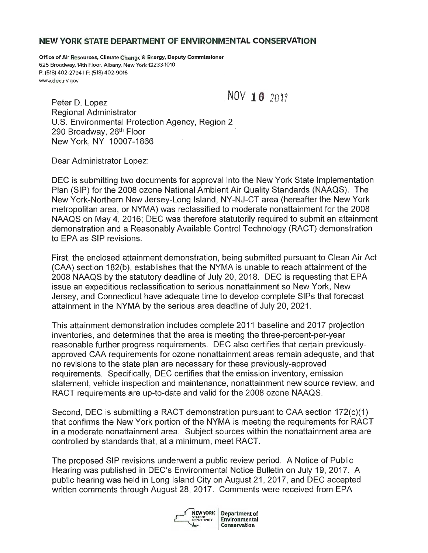#### **NEW YORK STATE DEPARTMENT OF ENVIRONMENTAL CONSERVATION**

Office of Air Resources, Climate Change & Energy, Deputy Commissioner 625 Broadway, 14th Floor, Albany, New York 12233-1010 P: (518) 402-2794 I F: (518) 402-9016 www.dec.ry.gov

**Peter D. Lopez** ,NOV **1 0**  $2017$ Regional Administrator U.S. Environmental Protection Agency, Region 2 290 Broadway, 26<sup>th</sup> Floor New York, NY 10007-1866

Dear Administrator Lopez:

DEC is submitting two documents for approval into the New York State Implementation Plan (SIP) for the 2008 ozone National Ambient Air Quality Standards (NAAQS) . The New York-Northern New Jersey-Long Island, NY-NJ-CT area (hereafter the New York metropolitan area, or NYMA) was reclassified to moderate nonattainment for the 2008 NAAQS on May 4, 2016; DEC was therefore statutorily required to submit an attainment demonstration and a Reasonably Available Control Technology (RACT) demonstration to EPA as SIP revisions.

First, the enclosed attainment demonstration, being submitted pursuant to Clean Air Act (CAA) section 182(b), establishes that the NYMA is unable to reach attainment of the 2008 NAAQS by the statutory deadline of July 20, 2018 . DEC is requesting that EPA issue an expeditious reclassification to serious nonattainment so New York, New Jersey, and Connecticut have adequate time to develop complete SIPs that forecast attainment in the NYMA by the serious area deadline of July 20, 2021.

This attainment demonstration includes complete 2011 baseline and 2017 projection inventories, and determines that the area is meeting the three-percent-per-year reasonable further progress requirements. DEC also certifies that certain previouslyapproved CAA requirements for ozone nonattainment areas remain adequate, and that no revisions to the state plan are necessary for these previously -approved requirements. Specifically, DEC certifies that the emission inventory, emission statement, vehicle inspection and maintenance, nonattainment new source review, and RACT requirements are up-to-date and valid for the 2008 ozone NAAQS.

Second, DEC is submitting a RACT demonstration pursuant to CAA section 172(c)(1) that confirms the New York portion of the NYMA is meeting the requirements for RACT in a moderate nonattainment area. Subject sources within the nonattainment area are controlled by standards that, at a minimum, meet RACT.

The proposed SIP revisions underwent a public review period. A Notice of Public Hearing was published in DEC's Environmental Notice Bulletin on July 19, 2017 . A public hearing was held in Long Island City on August 21, 2017, and DEC accepted written comments through August 28, 2017. Comments were received from EPA

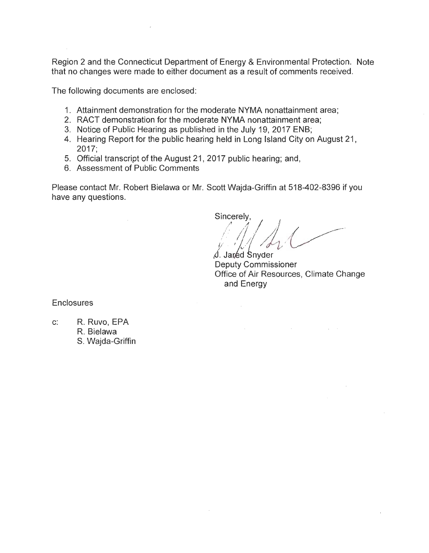Region 2 and the Connecticut Department of Energy & Environmental Protection . Note that no changes were made to either document as a result of comments received.

The following documents are enclosed:

- 1. Attainment demonstration for the moderate NYMA nonattainment area;
- 2. RACT demonstration for the moderate NYMA nonattainment area;
- 3. Notice of Public Hearing as published in the July 19, 2017 ENB;
- 4. Hearing Report for the public hearing held in Long Island City on August 21,  $2017:$
- 5. Official transcript of the August 21, 2017 public hearing; and,
- 6. Assessment of Public Comments

Please contact Mr. Robert Bielawa or Mr. Scott Wajda-Griffin at 518-402-8396 if you have any questions.

Sincerely,

 $\mathcal{L}^{\mathcal{L}}$ 

*,∖*<br>Deputy Commissioner Office of Air Resources, Climate Change and Energy

**Enclosures** 

c: R. Ruvo, EPA R. Bielawa

S. Wajda-Griffin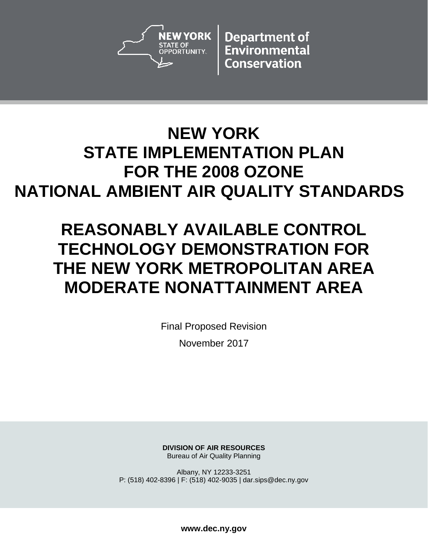

**Department of** Environmental **Conservation** 

## **NEW YORK STATE IMPLEMENTATION PLAN FOR THE 2008 OZONE NATIONAL AMBIENT AIR QUALITY STANDARDS**

# **REASONABLY AVAILABLE CONTROL TECHNOLOGY DEMONSTRATION FOR THE NEW YORK METROPOLITAN AREA MODERATE NONATTAINMENT AREA**

Final Proposed Revision November 2017

**DIVISION OF AIR RESOURCES** Bureau of Air Quality Planning

Albany, NY 12233-3251 P: (518) 402-8396 | F: (518) 402-9035 | dar.sips@dec.ny.gov

**www.dec.ny.gov**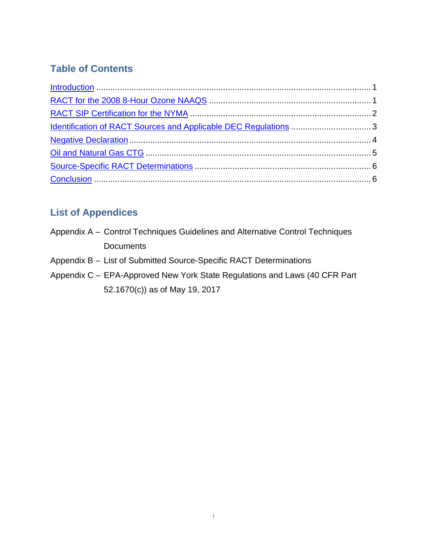## **Table of Contents**

## **List of Appendices**

- Appendix A Control Techniques Guidelines and Alternative Control Techniques **Documents**
- Appendix B List of Submitted Source-Specific RACT Determinations
- Appendix C EPA-Approved New York State Regulations and Laws (40 CFR Part 52.1670(c)) as of May 19, 2017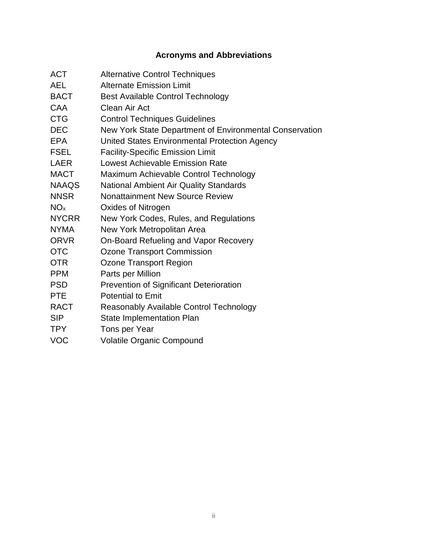## **Acronyms and Abbreviations**

| <b>ACT</b>      | <b>Alternative Control Techniques</b>                   |
|-----------------|---------------------------------------------------------|
| <b>AEL</b>      | <b>Alternate Emission Limit</b>                         |
| <b>BACT</b>     | <b>Best Available Control Technology</b>                |
| <b>CAA</b>      | <b>Clean Air Act</b>                                    |
| <b>CTG</b>      | <b>Control Techniques Guidelines</b>                    |
| <b>DEC</b>      | New York State Department of Environmental Conservation |
| <b>EPA</b>      | United States Environmental Protection Agency           |
| <b>FSEL</b>     | <b>Facility-Specific Emission Limit</b>                 |
| LAER            | Lowest Achievable Emission Rate                         |
| <b>MACT</b>     | Maximum Achievable Control Technology                   |
| <b>NAAQS</b>    | <b>National Ambient Air Quality Standards</b>           |
| <b>NNSR</b>     | <b>Nonattainment New Source Review</b>                  |
| NO <sub>x</sub> | Oxides of Nitrogen                                      |
| <b>NYCRR</b>    | New York Codes, Rules, and Regulations                  |
| <b>NYMA</b>     | New York Metropolitan Area                              |
| <b>ORVR</b>     | On-Board Refueling and Vapor Recovery                   |
| <b>OTC</b>      | <b>Ozone Transport Commission</b>                       |
| <b>OTR</b>      | Ozone Transport Region                                  |
| <b>PPM</b>      | Parts per Million                                       |
| <b>PSD</b>      | Prevention of Significant Deterioration                 |
| <b>PTE</b>      | <b>Potential to Emit</b>                                |
| <b>RACT</b>     | Reasonably Available Control Technology                 |
| <b>SIP</b>      | <b>State Implementation Plan</b>                        |
| <b>TPY</b>      | Tons per Year                                           |
| <b>VOC</b>      | <b>Volatile Organic Compound</b>                        |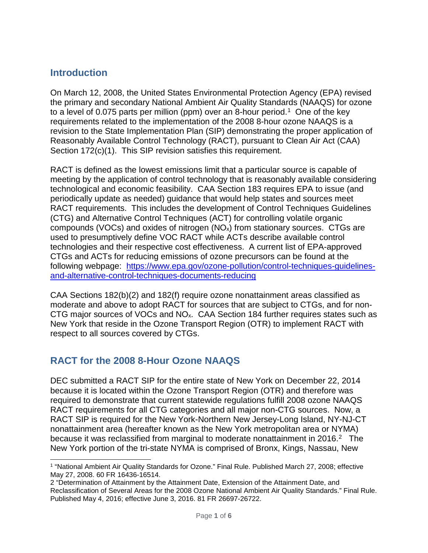#### <span id="page-5-0"></span>**Introduction**

On March 12, 2008, the United States Environmental Protection Agency (EPA) revised the primary and secondary National Ambient Air Quality Standards (NAAQS) for ozone to a level of 0.075 parts per million (ppm) over an 8-hour period.<sup>1</sup> One of the key requirements related to the implementation of the 2008 8-hour ozone NAAQS is a revision to the State Implementation Plan (SIP) demonstrating the proper application of Reasonably Available Control Technology (RACT), pursuant to Clean Air Act (CAA) Section 172(c)(1). This SIP revision satisfies this requirement.

RACT is defined as the lowest emissions limit that a particular source is capable of meeting by the application of control technology that is reasonably available considering technological and economic feasibility. CAA Section 183 requires EPA to issue (and periodically update as needed) guidance that would help states and sources meet RACT requirements. This includes the development of Control Techniques Guidelines (CTG) and Alternative Control Techniques (ACT) for controlling volatile organic compounds (VOCs) and oxides of nitrogen  $(NO<sub>x</sub>)$  from stationary sources. CTGs are used to presumptively define VOC RACT while ACTs describe available control technologies and their respective cost effectiveness. A current list of EPA-approved CTGs and ACTs for reducing emissions of ozone precursors can be found at the following webpage: [https://www.epa.gov/ozone-pollution/control-techniques-guidelines](https://www.epa.gov/ozone-pollution/control-techniques-guidelines-and-alternative-control-techniques-documents-reducing)[and-alternative-control-techniques-documents-reducing](https://www.epa.gov/ozone-pollution/control-techniques-guidelines-and-alternative-control-techniques-documents-reducing)

CAA Sections 182(b)(2) and 182(f) require ozone nonattainment areas classified as moderate and above to adopt RACT for sources that are subject to CTGs, and for non-CTG major sources of VOCs and NOx. CAA Section 184 further requires states such as New York that reside in the Ozone Transport Region (OTR) to implement RACT with respect to all sources covered by CTGs.

#### <span id="page-5-1"></span>**RACT for the 2008 8-Hour Ozone NAAQS**

DEC submitted a RACT SIP for the entire state of New York on December 22, 2014 because it is located within the Ozone Transport Region (OTR) and therefore was required to demonstrate that current statewide regulations fulfill 2008 ozone NAAQS RACT requirements for all CTG categories and all major non-CTG sources. Now, a RACT SIP is required for the New York-Northern New Jersey-Long Island, NY-NJ-CT nonattainment area (hereafter known as the New York metropolitan area or NYMA) because it was reclassified from marginal to moderate nonattainment in [2](#page-5-3)016.<sup>2</sup> The New York portion of the tri-state NYMA is comprised of Bronx, Kings, Nassau, New

<span id="page-5-2"></span><sup>1</sup> "National Ambient Air Quality Standards for Ozone." Final Rule. Published March 27, 2008; effective May 27, 2008. 60 FR 16436-16514. -

<span id="page-5-3"></span><sup>2 &</sup>quot;Determination of Attainment by the Attainment Date, Extension of the Attainment Date, and Reclassification of Several Areas for the 2008 Ozone National Ambient Air Quality Standards." Final Rule. Published May 4, 2016; effective June 3, 2016. 81 FR 26697-26722.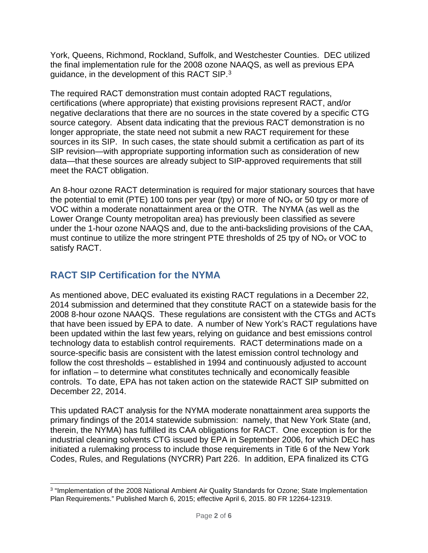York, Queens, Richmond, Rockland, Suffolk, and Westchester Counties. DEC utilized the final implementation rule for the 2008 ozone NAAQS, as well as previous EPA guidance, in the development of this RACT SIP.[3](#page-6-1)

The required RACT demonstration must contain adopted RACT regulations, certifications (where appropriate) that existing provisions represent RACT, and/or negative declarations that there are no sources in the state covered by a specific CTG source category. Absent data indicating that the previous RACT demonstration is no longer appropriate, the state need not submit a new RACT requirement for these sources in its SIP. In such cases, the state should submit a certification as part of its SIP revision—with appropriate supporting information such as consideration of new data—that these sources are already subject to SIP-approved requirements that still meet the RACT obligation.

An 8-hour ozone RACT determination is required for major stationary sources that have the potential to emit (PTE) 100 tons per year (tpy) or more of  $NO<sub>x</sub>$  or 50 tpy or more of VOC within a moderate nonattainment area or the OTR. The NYMA (as well as the Lower Orange County metropolitan area) has previously been classified as severe under the 1-hour ozone NAAQS and, due to the anti-backsliding provisions of the CAA, must continue to utilize the more stringent PTE thresholds of 25 tpy of  $NO<sub>x</sub>$  or VOC to satisfy RACT.

### <span id="page-6-0"></span>**RACT SIP Certification for the NYMA**

As mentioned above, DEC evaluated its existing RACT regulations in a December 22, 2014 submission and determined that they constitute RACT on a statewide basis for the 2008 8-hour ozone NAAQS. These regulations are consistent with the CTGs and ACTs that have been issued by EPA to date. A number of New York's RACT regulations have been updated within the last few years, relying on guidance and best emissions control technology data to establish control requirements. RACT determinations made on a source-specific basis are consistent with the latest emission control technology and follow the cost thresholds – established in 1994 and continuously adjusted to account for inflation – to determine what constitutes technically and economically feasible controls. To date, EPA has not taken action on the statewide RACT SIP submitted on December 22, 2014.

This updated RACT analysis for the NYMA moderate nonattainment area supports the primary findings of the 2014 statewide submission: namely, that New York State (and, therein, the NYMA) has fulfilled its CAA obligations for RACT. One exception is for the industrial cleaning solvents CTG issued by EPA in September 2006, for which DEC has initiated a rulemaking process to include those requirements in Title 6 of the New York Codes, Rules, and Regulations (NYCRR) Part 226. In addition, EPA finalized its CTG

<span id="page-6-1"></span><sup>3</sup> "Implementation of the 2008 National Ambient Air Quality Standards for Ozone; State Implementation Plan Requirements." Published March 6, 2015; effective April 6, 2015. 80 FR 12264-12319. -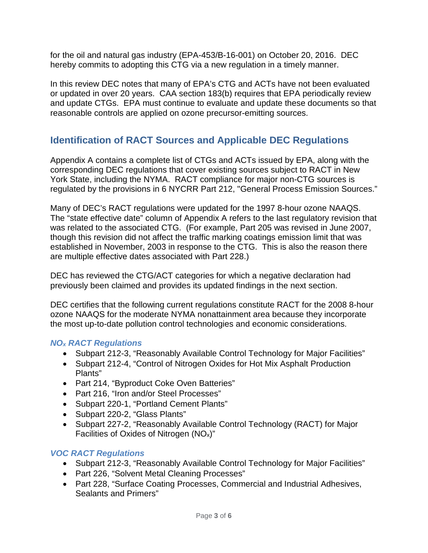for the oil and natural gas industry (EPA-453/B-16-001) on October 20, 2016. DEC hereby commits to adopting this CTG via a new regulation in a timely manner.

In this review DEC notes that many of EPA's CTG and ACTs have not been evaluated or updated in over 20 years. CAA section 183(b) requires that EPA periodically review and update CTGs. EPA must continue to evaluate and update these documents so that reasonable controls are applied on ozone precursor-emitting sources.

### <span id="page-7-0"></span>**Identification of RACT Sources and Applicable DEC Regulations**

Appendix A contains a complete list of CTGs and ACTs issued by EPA, along with the corresponding DEC regulations that cover existing sources subject to RACT in New York State, including the NYMA. RACT compliance for major non-CTG sources is regulated by the provisions in 6 NYCRR Part 212, "General Process Emission Sources."

Many of DEC's RACT regulations were updated for the 1997 8-hour ozone NAAQS. The "state effective date" column of Appendix A refers to the last regulatory revision that was related to the associated CTG. (For example, Part 205 was revised in June 2007, though this revision did not affect the traffic marking coatings emission limit that was established in November, 2003 in response to the CTG. This is also the reason there are multiple effective dates associated with Part 228.)

DEC has reviewed the CTG/ACT categories for which a negative declaration had previously been claimed and provides its updated findings in the next section.

DEC certifies that the following current regulations constitute RACT for the 2008 8-hour ozone NAAQS for the moderate NYMA nonattainment area because they incorporate the most up-to-date pollution control technologies and economic considerations.

#### *NOx RACT Regulations*

- Subpart 212-3, "Reasonably Available Control Technology for Major Facilities"
- Subpart 212-4, "Control of Nitrogen Oxides for Hot Mix Asphalt Production Plants"
- Part 214, "Byproduct Coke Oven Batteries"
- Part 216, "Iron and/or Steel Processes"
- Subpart 220-1, "Portland Cement Plants"
- Subpart 220-2, "Glass Plants"
- Subpart 227-2, "Reasonably Available Control Technology (RACT) for Major Facilities of Oxides of Nitrogen (NOx)"

#### *VOC RACT Regulations*

- Subpart 212-3, "Reasonably Available Control Technology for Major Facilities"
- Part 226, "Solvent Metal Cleaning Processes"
- Part 228, "Surface Coating Processes, Commercial and Industrial Adhesives, Sealants and Primers"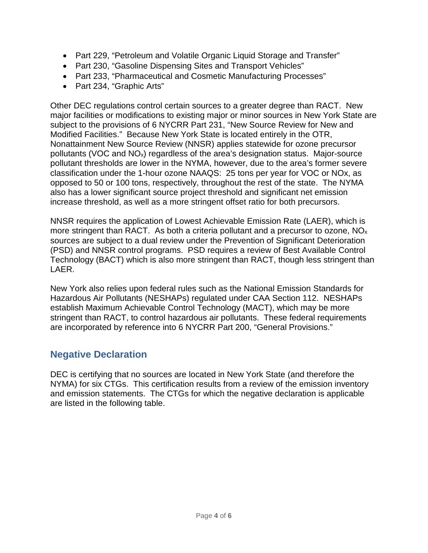- Part 229, "Petroleum and Volatile Organic Liquid Storage and Transfer"
- Part 230, "Gasoline Dispensing Sites and Transport Vehicles"
- Part 233, "Pharmaceutical and Cosmetic Manufacturing Processes"
- Part 234, "Graphic Arts"

Other DEC regulations control certain sources to a greater degree than RACT. New major facilities or modifications to existing major or minor sources in New York State are subject to the provisions of 6 NYCRR Part 231, "New Source Review for New and Modified Facilities." Because New York State is located entirely in the OTR, Nonattainment New Source Review (NNSR) applies statewide for ozone precursor pollutants (VOC and NOx) regardless of the area's designation status. Major-source pollutant thresholds are lower in the NYMA, however, due to the area's former severe classification under the 1-hour ozone NAAQS: 25 tons per year for VOC or NOx, as opposed to 50 or 100 tons, respectively, throughout the rest of the state. The NYMA also has a lower significant source project threshold and significant net emission increase threshold, as well as a more stringent offset ratio for both precursors.

NNSR requires the application of Lowest Achievable Emission Rate (LAER), which is more stringent than RACT. As both a criteria pollutant and a precursor to ozone,  $NO<sub>x</sub>$ sources are subject to a dual review under the Prevention of Significant Deterioration (PSD) and NNSR control programs. PSD requires a review of Best Available Control Technology (BACT) which is also more stringent than RACT, though less stringent than LAER.

New York also relies upon federal rules such as the National Emission Standards for Hazardous Air Pollutants (NESHAPs) regulated under CAA Section 112. NESHAPs establish Maximum Achievable Control Technology (MACT), which may be more stringent than RACT, to control hazardous air pollutants. These federal requirements are incorporated by reference into 6 NYCRR Part 200, "General Provisions."

### <span id="page-8-0"></span>**Negative Declaration**

DEC is certifying that no sources are located in New York State (and therefore the NYMA) for six CTGs. This certification results from a review of the emission inventory and emission statements. The CTGs for which the negative declaration is applicable are listed in the following table.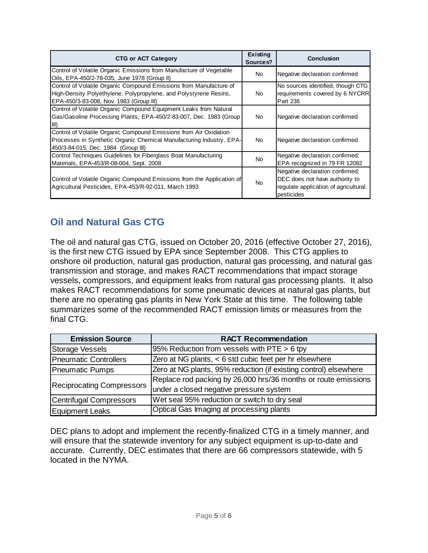| <b>CTG or ACT Category</b>                                                                                                                                                         | Existing<br>Sources? | <b>Conclusion</b>                                                                                                        |
|------------------------------------------------------------------------------------------------------------------------------------------------------------------------------------|----------------------|--------------------------------------------------------------------------------------------------------------------------|
| Control of Volatile Organic Emissions from Manufacture of Vegetable<br>Oils, EPA-450/2-78-035, June 1978 (Group II)                                                                | No.                  | Negative declaration confirmed                                                                                           |
| Control of Volatile Organic Compound Emissions from Manufacture of<br>High-Density Polyethylene, Polypropylene, and Polystyrene Resins,<br>EPA-450/3-83-008, Nov. 1983 (Group III) | <b>No</b>            | No sources identified, though CTG<br>requirements covered by 6 NYCRR<br>Part 236                                         |
| Control of Volatile Organic Compound Equipment Leaks from Natural<br>Gas/Gasoline Processing Plants, EPA-450/2-83-007, Dec. 1983 (Group                                            | No.                  | Negative declaration confirmed                                                                                           |
| Control of Volatile Organic Compound Emissions from Air Oxidation<br>Processes in Synthetic Organic Chemical Manufacturing Industry, EPA-<br>450/3-84-015, Dec. 1984 (Group III)   | No.                  | Negative declaration confirmed                                                                                           |
| Control Techniques Guidelines for Fiberglass Boat Manufacturing<br>Materials, EPA-453/R-08-004, Sept. 2008                                                                         | <b>No</b>            | Negative declaration confirmed;<br>EPA recognized in 79 FR 12082                                                         |
| Control of Volatile Organic Compound Emissions from the Application of<br>Agricultural Pesticides, EPA-453/R-92-011, March 1993                                                    | <b>No</b>            | Negative declaration confirmed;<br>DEC does not have authority to<br>regulate application of agricultural.<br>pesticides |

## <span id="page-9-0"></span>**Oil and Natural Gas CTG**

The oil and natural gas CTG, issued on October 20, 2016 (effective October 27, 2016), is the first new CTG issued by EPA since September 2008. This CTG applies to onshore oil production, natural gas production, natural gas processing, and natural gas transmission and storage, and makes RACT recommendations that impact storage vessels, compressors, and equipment leaks from natural gas processing plants. It also makes RACT recommendations for some pneumatic devices at natural gas plants, but there are no operating gas plants in New York State at this time. The following table summarizes some of the recommended RACT emission limits or measures from the final CTG.

| <b>Emission Source</b>           | <b>RACT Recommendation</b>                                       |
|----------------------------------|------------------------------------------------------------------|
| Storage Vessels                  | 95% Reduction from vessels with PTE > 6 tpy                      |
| <b>Pneumatic Controllers</b>     | Zero at NG plants, < 6 std cubic feet per hr elsewhere           |
| <b>Pneumatic Pumps</b>           | Zero at NG plants, 95% reduction (if existing control) elsewhere |
|                                  | Replace rod packing by 26,000 hrs/36 months or route emissions   |
| <b>Reciprocating Compressors</b> | under a closed negative pressure system                          |
| Centrifugal Compressors          | Wet seal 95% reduction or switch to dry seal                     |
| Equipment Leaks                  | Optical Gas Imaging at processing plants                         |

DEC plans to adopt and implement the recently-finalized CTG in a timely manner, and will ensure that the statewide inventory for any subject equipment is up-to-date and accurate. Currently, DEC estimates that there are 66 compressors statewide, with 5 located in the NYMA.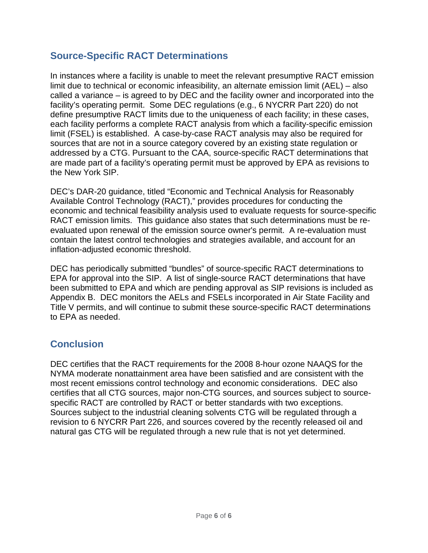#### <span id="page-10-0"></span>**Source-Specific RACT Determinations**

In instances where a facility is unable to meet the relevant presumptive RACT emission limit due to technical or economic infeasibility, an alternate emission limit (AEL) – also called a variance – is agreed to by DEC and the facility owner and incorporated into the facility's operating permit. Some DEC regulations (e.g., 6 NYCRR Part 220) do not define presumptive RACT limits due to the uniqueness of each facility; in these cases, each facility performs a complete RACT analysis from which a facility-specific emission limit (FSEL) is established. A case-by-case RACT analysis may also be required for sources that are not in a source category covered by an existing state regulation or addressed by a CTG. Pursuant to the CAA, source-specific RACT determinations that are made part of a facility's operating permit must be approved by EPA as revisions to the New York SIP.

DEC's DAR-20 guidance, titled "Economic and Technical Analysis for Reasonably Available Control Technology (RACT)," provides procedures for conducting the economic and technical feasibility analysis used to evaluate requests for source-specific RACT emission limits. This guidance also states that such determinations must be reevaluated upon renewal of the emission source owner's permit. A re-evaluation must contain the latest control technologies and strategies available, and account for an inflation-adjusted economic threshold.

DEC has periodically submitted "bundles" of source-specific RACT determinations to EPA for approval into the SIP. A list of single-source RACT determinations that have been submitted to EPA and which are pending approval as SIP revisions is included as Appendix B. DEC monitors the AELs and FSELs incorporated in Air State Facility and Title V permits, and will continue to submit these source-specific RACT determinations to EPA as needed.

#### <span id="page-10-1"></span>**Conclusion**

DEC certifies that the RACT requirements for the 2008 8-hour ozone NAAQS for the NYMA moderate nonattainment area have been satisfied and are consistent with the most recent emissions control technology and economic considerations. DEC also certifies that all CTG sources, major non-CTG sources, and sources subject to sourcespecific RACT are controlled by RACT or better standards with two exceptions. Sources subject to the industrial cleaning solvents CTG will be regulated through a revision to 6 NYCRR Part 226, and sources covered by the recently released oil and natural gas CTG will be regulated through a new rule that is not yet determined.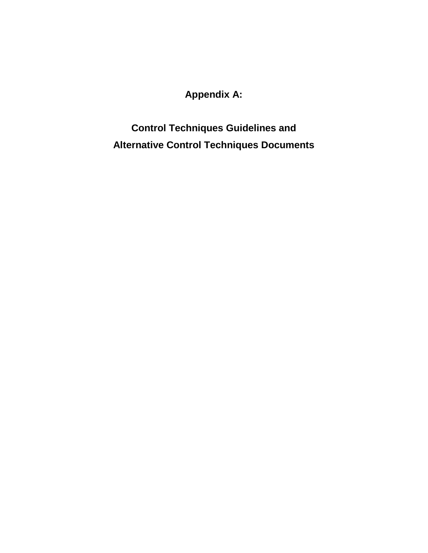## **Appendix A:**

**Control Techniques Guidelines and Alternative Control Techniques Documents**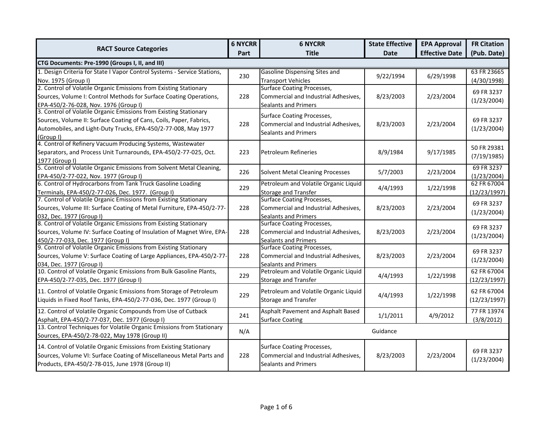|                                                                                                                                                                                                                         |      | <b>6 NYCRR</b>                                                                                           | <b>State Effective</b> | <b>EPA Approval</b>   | <b>FR Citation</b>          |  |
|-------------------------------------------------------------------------------------------------------------------------------------------------------------------------------------------------------------------------|------|----------------------------------------------------------------------------------------------------------|------------------------|-----------------------|-----------------------------|--|
| <b>RACT Source Categories</b>                                                                                                                                                                                           | Part | <b>Title</b>                                                                                             | <b>Date</b>            | <b>Effective Date</b> | (Pub. Date)                 |  |
| CTG Documents: Pre-1990 (Groups I, II, and III)                                                                                                                                                                         |      |                                                                                                          |                        |                       |                             |  |
| 1. Design Criteria for State I Vapor Control Systems - Service Stations,<br>Nov. 1975 (Group I)                                                                                                                         | 230  | <b>Gasoline Dispensing Sites and</b><br><b>Transport Vehicles</b>                                        | 9/22/1994              | 6/29/1998             | 63 FR 23665<br>(4/30/1998)  |  |
| 2. Control of Volatile Organic Emissions from Existing Stationary<br>Sources, Volume I: Control Methods for Surface Coating Operations,<br>EPA-450/2-76-028, Nov. 1976 (Group I)                                        | 228  | <b>Surface Coating Processes,</b><br>Commercial and Industrial Adhesives,<br><b>Sealants and Primers</b> | 8/23/2003              | 2/23/2004             | 69 FR 3237<br>(1/23/2004)   |  |
| 3. Control of Volatile Organic Emissions from Existing Stationary<br>Sources, Volume II: Surface Coating of Cans, Coils, Paper, Fabrics,<br>Automobiles, and Light-Duty Trucks, EPA-450/2-77-008, May 1977<br>(Group I) | 228  | <b>Surface Coating Processes,</b><br>Commercial and Industrial Adhesives,<br><b>Sealants and Primers</b> | 8/23/2003              | 2/23/2004             | 69 FR 3237<br>(1/23/2004)   |  |
| 4. Control of Refinery Vacuum Producing Systems, Wastewater<br>Separators, and Process Unit Turnarounds, EPA-450/2-77-025, Oct.<br>1977 (Group I)                                                                       | 223  | <b>Petroleum Refineries</b>                                                                              | 8/9/1984               | 9/17/1985             | 50 FR 29381<br>(7/19/1985)  |  |
| 5. Control of Volatile Organic Emissions from Solvent Metal Cleaning,<br>EPA-450/2-77-022, Nov. 1977 (Group I)                                                                                                          | 226  | <b>Solvent Metal Cleaning Processes</b>                                                                  | 5/7/2003               | 2/23/2004             | 69 FR 3237<br>(1/23/2004)   |  |
| 6. Control of Hydrocarbons from Tank Truck Gasoline Loading<br>Terminals, EPA-450/2-77-026, Dec. 1977. (Group I)                                                                                                        | 229  | Petroleum and Volatile Organic Liquid<br><b>Storage and Transfer</b>                                     | 4/4/1993               | 1/22/1998             | 62 FR 67004<br>(12/23/1997) |  |
| 7. Control of Volatile Organic Emissions from Existing Stationary<br>Sources, Volume III: Surface Coating of Metal Furniture, EPA-450/2-77-<br>032, Dec. 1977 (Group I)                                                 | 228  | <b>Surface Coating Processes,</b><br>Commercial and Industrial Adhesives,<br><b>Sealants and Primers</b> | 8/23/2003              | 2/23/2004             | 69 FR 3237<br>(1/23/2004)   |  |
| 8. Control of Volatile Organic Emissions from Existing Stationary<br>Sources, Volume IV: Surface Coating of Insulation of Magnet Wire, EPA-<br>450/2-77-033, Dec. 1977 (Group I)                                        | 228  | <b>Surface Coating Processes,</b><br>Commercial and Industrial Adhesives,<br><b>Sealants and Primers</b> | 8/23/2003              | 2/23/2004             | 69 FR 3237<br>(1/23/2004)   |  |
| 9. Control of Volatile Organic Emissions from Existing Stationary<br>Sources, Volume V: Surface Coating of Large Appliances, EPA-450/2-77-<br>034, Dec. 1977 (Group I)                                                  | 228  | <b>Surface Coating Processes,</b><br>Commercial and Industrial Adhesives,<br>Sealants and Primers        | 8/23/2003              | 2/23/2004             | 69 FR 3237<br>(1/23/2004)   |  |
| 10. Control of Volatile Organic Emissions from Bulk Gasoline Plants,<br>EPA-450/2-77-035, Dec. 1977 (Group I)                                                                                                           | 229  | Petroleum and Volatile Organic Liquid<br><b>Storage and Transfer</b>                                     | 4/4/1993               | 1/22/1998             | 62 FR 67004<br>(12/23/1997) |  |
| 11. Control of Volatile Organic Emissions from Storage of Petroleum<br>Liquids in Fixed Roof Tanks, EPA-450/2-77-036, Dec. 1977 (Group I)                                                                               | 229  | Petroleum and Volatile Organic Liquid<br><b>Storage and Transfer</b>                                     | 4/4/1993               | 1/22/1998             | 62 FR 67004<br>(12/23/1997) |  |
| 12. Control of Volatile Organic Compounds from Use of Cutback<br>Asphalt, EPA-450/2-77-037, Dec. 1977 (Group I)                                                                                                         | 241  | Asphalt Pavement and Asphalt Based<br><b>Surface Coating</b>                                             | 1/1/2011               | 4/9/2012              | 77 FR 13974<br>(3/8/2012)   |  |
| 13. Control Techniques for Volatile Organic Emissions from Stationary<br>Sources, EPA-450/2-78-022, May 1978 (Group II)                                                                                                 | N/A  |                                                                                                          | Guidance               |                       |                             |  |
| 14. Control of Volatile Organic Emissions from Existing Stationary<br>Sources, Volume VI: Surface Coating of Miscellaneous Metal Parts and<br>Products, EPA-450/2-78-015, June 1978 (Group II)                          | 228  | <b>Surface Coating Processes,</b><br>Commercial and Industrial Adhesives,<br>Sealants and Primers        | 8/23/2003              | 2/23/2004             | 69 FR 3237<br>(1/23/2004)   |  |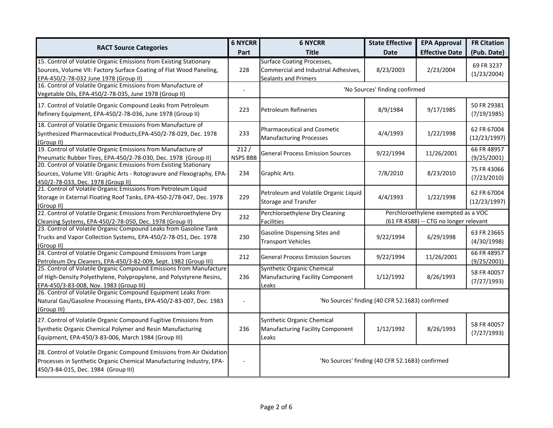|                                                                                                                                                                                        | <b>6 NYCRR</b>          | <b>6 NYCRR</b>                                                                                           | <b>State Effective</b>                          | <b>EPA Approval</b>                                                           | <b>FR Citation</b>          |
|----------------------------------------------------------------------------------------------------------------------------------------------------------------------------------------|-------------------------|----------------------------------------------------------------------------------------------------------|-------------------------------------------------|-------------------------------------------------------------------------------|-----------------------------|
| <b>RACT Source Categories</b>                                                                                                                                                          | Part                    | <b>Title</b>                                                                                             | <b>Date</b>                                     | <b>Effective Date</b>                                                         | (Pub. Date)                 |
| 15. Control of Volatile Organic Emissions from Existing Stationary<br>Sources, Volume VII: Factory Surface Coating of Flat Wood Paneling,<br>EPA-450/2-78-032 June 1978 (Group II)     | 228                     | <b>Surface Coating Processes,</b><br>Commercial and Industrial Adhesives,<br><b>Sealants and Primers</b> | 8/23/2003                                       | 2/23/2004                                                                     | 69 FR 3237<br>(1/23/2004)   |
| 16. Control of Volatile Organic Emissions from Manufacture of<br>Vegetable Oils, EPA-450/2-78-035, June 1978 (Group II)                                                                |                         |                                                                                                          | 'No Sources' finding confirmed                  |                                                                               |                             |
| 17. Control of Volatile Organic Compound Leaks from Petroleum<br>Refinery Equipment, EPA-450/2-78-036, June 1978 (Group II)                                                            | 223                     | <b>Petroleum Refineries</b>                                                                              | 8/9/1984                                        | 9/17/1985                                                                     | 50 FR 29381<br>(7/19/1985)  |
| 18. Control of Volatile Organic Emissions from Manufacture of<br>Synthesized Pharmaceutical Products, EPA-450/2-78-029, Dec. 1978<br>(Group II)                                        | 233                     | <b>Pharmaceutical and Cosmetic</b><br><b>Manufacturing Processes</b>                                     | 4/4/1993                                        | 1/22/1998                                                                     | 62 FR 67004<br>(12/23/1997) |
| 19. Control of Volatile Organic Emissions from Manufacture of<br>Pneumatic Rubber Tires, EPA-450/2-78-030, Dec. 1978 (Group II)                                                        | 212/<br><b>NSPS BBB</b> | <b>General Process Emission Sources</b>                                                                  | 9/22/1994                                       | 11/26/2001                                                                    | 66 FR 48957<br>(9/25/2001)  |
| 20. Control of Volatile Organic Emissions from Existing Stationary<br>Sources, Volume VIII: Graphic Arts - Rotogravure and Flexography, EPA-<br>450/2-78-033, Dec. 1978 (Group II)     | 234                     | <b>Graphic Arts</b>                                                                                      | 7/8/2010                                        | 8/23/2010                                                                     | 75 FR 43066<br>(7/23/2010)  |
| 21. Control of Volatile Organic Emissions from Petroleum Liquid<br>Storage in External Floating Roof Tanks, EPA-450-2/78-047, Dec. 1978<br>(Group II)                                  | 229                     | Petroleum and Volatile Organic Liquid<br><b>Storage and Transfer</b>                                     | 4/4/1993                                        | 1/22/1998                                                                     | 62 FR 67004<br>(12/23/1997) |
| 22. Control of Volatile Organic Emissions from Perchloroethylene Dry<br>Cleaning Systems, EPA-450/2-78-050, Dec. 1978 (Group II)                                                       | 232                     | Perchloroethylene Dry Cleaning<br><b>Facilities</b>                                                      |                                                 | Perchloroethylene exempted as a VOC<br>(61 FR 4588) -- CTG no longer relevant |                             |
| 23. Control of Volatile Organic Compound Leaks from Gasoline Tank<br>Trucks and Vapor Collection Systems, EPA-450/2-78-051, Dec. 1978<br>(Group II)                                    | 230                     | Gasoline Dispensing Sites and<br><b>Transport Vehicles</b>                                               | 9/22/1994                                       | 6/29/1998                                                                     | 63 FR 23665<br>(4/30/1998)  |
| 24. Control of Volatile Organic Compound Emissions from Large<br>Petroleum Dry Cleaners, EPA-450/3-82-009, Sept. 1982 (Group III)                                                      | 212                     | <b>General Process Emission Sources</b>                                                                  | 9/22/1994                                       | 11/26/2001                                                                    | 66 FR 48957<br>(9/25/2001)  |
| 25. Control of Volatile Organic Compound Emissions from Manufacture<br>of High-Density Polyethylene, Polypropylene, and Polystyrene Resins,<br>EPA-450/3-83-008, Nov. 1983 (Group III) | 236                     | <b>Synthetic Organic Chemical</b><br>Manufacturing Facility Component<br>Leaks                           | 1/12/1992                                       | 8/26/1993                                                                     | 58 FR 40057<br>(7/27/1993)  |
| 26. Control of Volatile Organic Compound Equipment Leaks from<br>Natural Gas/Gasoline Processing Plants, EPA-450/2-83-007, Dec. 1983<br>(Group III)                                    |                         |                                                                                                          | 'No Sources' finding (40 CFR 52.1683) confirmed |                                                                               |                             |
| 27. Control of Volatile Organic Compound Fugitive Emissions from<br>Synthetic Organic Chemical Polymer and Resin Manufacturing<br>Equipment, EPA-450/3-83-006, March 1984 (Group III)  | 236                     | Synthetic Organic Chemical<br>Manufacturing Facility Component<br>Leaks                                  | 1/12/1992                                       | 8/26/1993                                                                     | 58 FR 40057<br>(7/27/1993)  |
| 28. Control of Volatile Organic Compound Emissions from Air Oxidation<br>Processes in Synthetic Organic Chemical Manufacturing Industry, EPA-<br>450/3-84-015, Dec. 1984 (Group III)   |                         |                                                                                                          | 'No Sources' finding (40 CFR 52.1683) confirmed |                                                                               |                             |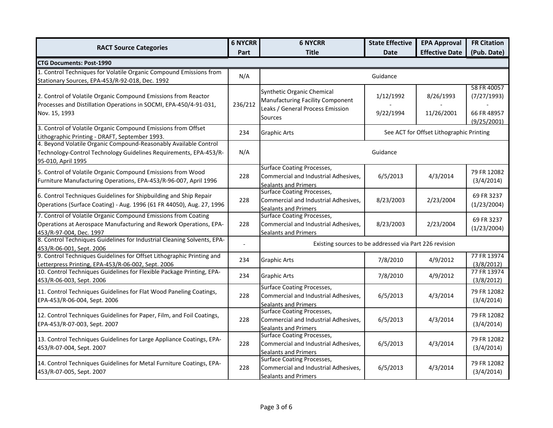|                                                                                                                                                                |                | <b>6 NYCRR</b><br><b>6 NYCRR</b>                                                                              | <b>State Effective</b> | <b>EPA Approval</b>                      | <b>FR Citation</b>                        |  |  |
|----------------------------------------------------------------------------------------------------------------------------------------------------------------|----------------|---------------------------------------------------------------------------------------------------------------|------------------------|------------------------------------------|-------------------------------------------|--|--|
| <b>RACT Source Categories</b>                                                                                                                                  | Part           | <b>Title</b>                                                                                                  | <b>Date</b>            | <b>Effective Date</b>                    | (Pub. Date)                               |  |  |
| <b>CTG Documents: Post-1990</b>                                                                                                                                |                |                                                                                                               |                        |                                          |                                           |  |  |
| 1. Control Techniques for Volatile Organic Compound Emissions from<br>Stationary Sources, EPA-453/R-92-018, Dec. 1992                                          | N/A            |                                                                                                               | Guidance               |                                          |                                           |  |  |
| 2. Control of Volatile Organic Compound Emissions from Reactor<br>Processes and Distillation Operations in SOCMI, EPA-450/4-91-031,<br>Nov. 15, 1993           | 236/212        | Synthetic Organic Chemical<br>Manufacturing Facility Component<br>Leaks / General Process Emission<br>Sources | 1/12/1992<br>9/22/1994 | 8/26/1993<br>11/26/2001                  | 58 FR 40057<br>(7/27/1993)<br>66 FR 48957 |  |  |
| 3. Control of Volatile Organic Compound Emissions from Offset<br>Lithographic Printing - DRAFT, September 1993.                                                | 234            | <b>Graphic Arts</b>                                                                                           |                        | See ACT for Offset Lithographic Printing | (9/25/2001)                               |  |  |
| 4. Beyond Volatile Organic Compound-Reasonably Available Control<br>Technology-Control Technology Guidelines Requirements, EPA-453/R-<br>95-010, April 1995    | N/A            |                                                                                                               | Guidance               |                                          |                                           |  |  |
| 5. Control of Volatile Organic Compound Emissions from Wood<br>Furniture Manufacturing Operations, EPA-453/R-96-007, April 1996                                | 228            | <b>Surface Coating Processes,</b><br>Commercial and Industrial Adhesives,<br><b>Sealants and Primers</b>      | 6/5/2013               | 4/3/2014                                 | 79 FR 12082<br>(3/4/2014)                 |  |  |
| 6. Control Techniques Guidelines for Shipbuilding and Ship Repair<br>Operations (Surface Coating) - Aug. 1996 (61 FR 44050), Aug. 27, 1996                     | 228            | <b>Surface Coating Processes,</b><br>Commercial and Industrial Adhesives,<br><b>Sealants and Primers</b>      | 8/23/2003              | 2/23/2004                                | 69 FR 3237<br>(1/23/2004)                 |  |  |
| 7. Control of Volatile Organic Compound Emissions from Coating<br>Operations at Aerospace Manufacturing and Rework Operations, EPA-<br>453/R-97-004, Dec. 1997 | 228            | Surface Coating Processes,<br>Commercial and Industrial Adhesives,<br><b>Sealants and Primers</b>             | 8/23/2003              | 2/23/2004                                | 69 FR 3237<br>(1/23/2004)                 |  |  |
| 8. Control Techniques Guidelines for Industrial Cleaning Solvents, EPA-<br>453/R-06-001, Sept. 2006                                                            | $\overline{a}$ | Existing sources to be addressed via Part 226 revision                                                        |                        |                                          |                                           |  |  |
| 9. Control Techniques Guidelines for Offset Lithographic Printing and<br>Letterpress Printing, EPA-453/R-06-002, Sept. 2006                                    | 234            | <b>Graphic Arts</b>                                                                                           | 7/8/2010               | 4/9/2012                                 | 77 FR 13974<br>(3/8/2012)                 |  |  |
| 10. Control Techniques Guidelines for Flexible Package Printing, EPA-<br>453/R-06-003, Sept. 2006                                                              | 234            | <b>Graphic Arts</b>                                                                                           | 7/8/2010               | 4/9/2012                                 | 77 FR 13974<br>(3/8/2012)                 |  |  |
| 11. Control Techniques Guidelines for Flat Wood Paneling Coatings,<br>EPA-453/R-06-004, Sept. 2006                                                             | 228            | <b>Surface Coating Processes,</b><br>Commercial and Industrial Adhesives,<br><b>Sealants and Primers</b>      | 6/5/2013               | 4/3/2014                                 | 79 FR 12082<br>(3/4/2014)                 |  |  |
| 12. Control Techniques Guidelines for Paper, Film, and Foil Coatings,<br>EPA-453/R-07-003, Sept. 2007                                                          | 228            | <b>Surface Coating Processes,</b><br>Commercial and Industrial Adhesives,<br><b>Sealants and Primers</b>      | 6/5/2013               | 4/3/2014                                 | 79 FR 12082<br>(3/4/2014)                 |  |  |
| 13. Control Techniques Guidelines for Large Appliance Coatings, EPA-<br>453/R-07-004, Sept. 2007                                                               | 228            | <b>Surface Coating Processes,</b><br>Commercial and Industrial Adhesives,<br><b>Sealants and Primers</b>      | 6/5/2013               | 4/3/2014                                 | 79 FR 12082<br>(3/4/2014)                 |  |  |
| 14. Control Techniques Guidelines for Metal Furniture Coatings, EPA-<br>453/R-07-005, Sept. 2007                                                               | 228            | <b>Surface Coating Processes,</b><br>Commercial and Industrial Adhesives,<br><b>Sealants and Primers</b>      | 6/5/2013               | 4/3/2014                                 | 79 FR 12082<br>(3/4/2014)                 |  |  |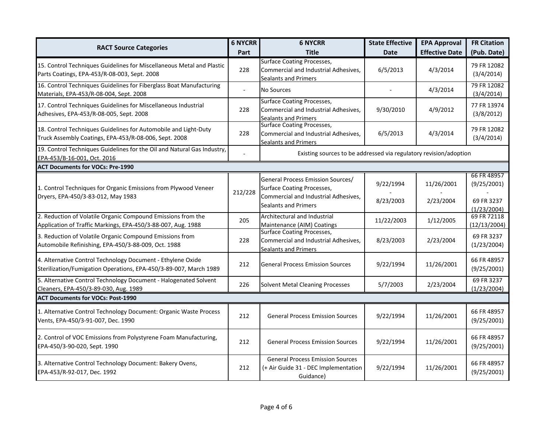| <b>RACT Source Categories</b>                                                                                                    |         | <b>6 NYCRR</b>                                                                                           | <b>State Effective</b> | <b>EPA Approval</b>   | <b>FR Citation</b>          |
|----------------------------------------------------------------------------------------------------------------------------------|---------|----------------------------------------------------------------------------------------------------------|------------------------|-----------------------|-----------------------------|
|                                                                                                                                  | Part    | <b>Title</b>                                                                                             | <b>Date</b>            | <b>Effective Date</b> | (Pub. Date)                 |
| 15. Control Techniques Guidelines for Miscellaneous Metal and Plastic<br>Parts Coatings, EPA-453/R-08-003, Sept. 2008            | 228     | <b>Surface Coating Processes,</b><br>Commercial and Industrial Adhesives,<br><b>Sealants and Primers</b> | 6/5/2013               | 4/3/2014              | 79 FR 12082<br>(3/4/2014)   |
| 16. Control Techniques Guidelines for Fiberglass Boat Manufacturing<br>Materials, EPA-453/R-08-004, Sept. 2008                   |         | No Sources                                                                                               |                        | 4/3/2014              | 79 FR 12082<br>(3/4/2014)   |
| 17. Control Techniques Guidelines for Miscellaneous Industrial<br>Adhesives, EPA-453/R-08-005, Sept. 2008                        | 228     | <b>Surface Coating Processes,</b><br>Commercial and Industrial Adhesives,<br><b>Sealants and Primers</b> | 9/30/2010              | 4/9/2012              | 77 FR 13974<br>(3/8/2012)   |
| 18. Control Techniques Guidelines for Automobile and Light-Duty<br>Truck Assembly Coatings, EPA-453/R-08-006, Sept. 2008         | 228     | <b>Surface Coating Processes,</b><br>Commercial and Industrial Adhesives,<br><b>Sealants and Primers</b> | 6/5/2013               | 4/3/2014              | 79 FR 12082<br>(3/4/2014)   |
| 19. Control Techniques Guidelines for the Oil and Natural Gas Industry,<br>EPA-453/B-16-001, Oct. 2016                           |         | Existing sources to be addressed via regulatory revision/adoption                                        |                        |                       |                             |
| <b>ACT Documents for VOCs: Pre-1990</b>                                                                                          |         |                                                                                                          |                        |                       |                             |
| 1. Control Techniques for Organic Emissions from Plywood Veneer                                                                  | 212/228 | General Process Emission Sources/<br>Surface Coating Processes,                                          | 9/22/1994              | 11/26/2001            | 66 FR 48957<br>(9/25/2001)  |
| Dryers, EPA-450/3-83-012, May 1983                                                                                               |         | Commercial and Industrial Adhesives,<br><b>Sealants and Primers</b>                                      | 8/23/2003              | 2/23/2004             | 69 FR 3237<br>(1/23/2004)   |
| 2. Reduction of Volatile Organic Compound Emissions from the<br>Application of Traffic Markings, EPA-450/3-88-007, Aug. 1988     | 205     | Architectural and Industrial<br>Maintenance (AIM) Coatings                                               | 11/22/2003             | 1/12/2005             | 69 FR 72118<br>(12/13/2004) |
| 3. Reduction of Volatile Organic Compound Emissions from<br>Automobile Refinishing, EPA-450/3-88-009, Oct. 1988                  | 228     | <b>Surface Coating Processes,</b><br>Commercial and Industrial Adhesives,<br><b>Sealants and Primers</b> | 8/23/2003              | 2/23/2004             | 69 FR 3237<br>(1/23/2004)   |
| 4. Alternative Control Technology Document - Ethylene Oxide<br>Sterilization/Fumigation Operations, EPA-450/3-89-007, March 1989 | 212     | <b>General Process Emission Sources</b>                                                                  | 9/22/1994              | 11/26/2001            | 66 FR 48957<br>(9/25/2001)  |
| 5. Alternative Control Technology Document - Halogenated Solvent<br>Cleaners, EPA-450/3-89-030, Aug. 1989                        | 226     | <b>Solvent Metal Cleaning Processes</b>                                                                  | 5/7/2003               | 2/23/2004             | 69 FR 3237<br>(1/23/2004)   |
| <b>ACT Documents for VOCs: Post-1990</b>                                                                                         |         |                                                                                                          |                        |                       |                             |
| 1. Alternative Control Technology Document: Organic Waste Process<br>Vents, EPA-450/3-91-007, Dec. 1990                          | 212     | <b>General Process Emission Sources</b>                                                                  | 9/22/1994              | 11/26/2001            | 66 FR 48957<br>(9/25/2001)  |
| 2. Control of VOC Emissions from Polystyrene Foam Manufacturing,<br>EPA-450/3-90-020, Sept. 1990                                 | 212     | <b>General Process Emission Sources</b>                                                                  | 9/22/1994              | 11/26/2001            | 66 FR 48957<br>(9/25/2001)  |
| 3. Alternative Control Technology Document: Bakery Ovens,<br>EPA-453/R-92-017, Dec. 1992                                         | 212     | <b>General Process Emission Sources</b><br>(+ Air Guide 31 - DEC Implementation<br>Guidance)             | 9/22/1994              | 11/26/2001            | 66 FR 48957<br>(9/25/2001)  |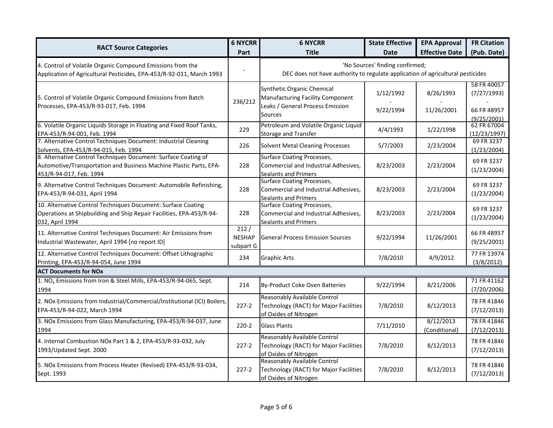| <b>RACT Source Categories</b>                                                                                                                                   | <b>6 NYCRR</b>                     | <b>6 NYCRR</b>                                                                                           | <b>State Effective</b>                                                                                            | <b>EPA Approval</b>        | <b>FR Citation</b>          |
|-----------------------------------------------------------------------------------------------------------------------------------------------------------------|------------------------------------|----------------------------------------------------------------------------------------------------------|-------------------------------------------------------------------------------------------------------------------|----------------------------|-----------------------------|
|                                                                                                                                                                 | Part                               | <b>Title</b>                                                                                             | <b>Date</b>                                                                                                       | <b>Effective Date</b>      | (Pub. Date)                 |
| 4. Control of Volatile Organic Compound Emissions from the<br>Application of Agricultural Pesticides, EPA-453/R-92-011, March 1993                              |                                    |                                                                                                          | 'No Sources' finding confirmed;<br>DEC does not have authority to regulate application of agricultural pesticides |                            |                             |
| 5. Control of Volatile Organic Compound Emissions from Batch                                                                                                    | 236/212                            | Synthetic Organic Chemical<br>Manufacturing Facility Component                                           | 1/12/1992                                                                                                         | 8/26/1993                  | 58 FR 40057<br>(7/27/1993)  |
| Processes, EPA-453/R-93-017, Feb. 1994                                                                                                                          |                                    | Leaks / General Process Emission<br><b>Sources</b>                                                       | 9/22/1994                                                                                                         | 11/26/2001                 | 66 FR 48957<br>(9/25/2001)  |
| 6. Volatile Organic Liquids Storage in Floating and Fixed Roof Tanks,<br>EPA-453/R-94-001, Feb. 1994                                                            | 229                                | Petroleum and Volatile Organic Liquid<br><b>Storage and Transfer</b>                                     | 4/4/1993                                                                                                          | 1/22/1998                  | 62 FR 67004<br>(12/23/1997) |
| 7. Alternative Control Techniques Document: Industrial Cleaning<br>Solvents, EPA-453/R-94-015, Feb. 1994                                                        | 226                                | <b>Solvent Metal Cleaning Processes</b>                                                                  | 5/7/2003                                                                                                          | 2/23/2004                  | 69 FR 3237<br>(1/23/2004)   |
| 8. Alternative Control Techniques Document: Surface Coating of<br>Automotive/Transportation and Business Machine Plastic Parts, EPA-<br>453/R-94-017, Feb. 1994 | 228                                | <b>Surface Coating Processes,</b><br>Commercial and Industrial Adhesives,<br><b>Sealants and Primers</b> | 8/23/2003                                                                                                         | 2/23/2004                  | 69 FR 3237<br>(1/23/2004)   |
| 9. Alternative Control Techniques Document: Automobile Refinishing,<br>EPA-453/R-94-031, April 1994                                                             | 228                                | <b>Surface Coating Processes,</b><br>Commercial and Industrial Adhesives,<br><b>Sealants and Primers</b> | 8/23/2003                                                                                                         | 2/23/2004                  | 69 FR 3237<br>(1/23/2004)   |
| 10. Alternative Control Techniques Document: Surface Coating<br>Operations at Shipbuilding and Ship Repair Facilities, EPA-453/R-94-<br>032, April 1994         | 228                                | <b>Surface Coating Processes,</b><br>Commercial and Industrial Adhesives,<br><b>Sealants and Primers</b> | 8/23/2003                                                                                                         | 2/23/2004                  | 69 FR 3237<br>(1/23/2004)   |
| 11. Alternative Control Techniques Document: Air Emissions from<br>Industrial Wastewater, April 1994 [no report ID]                                             | 212/<br><b>NESHAP</b><br>subpart G | <b>General Process Emission Sources</b>                                                                  | 9/22/1994                                                                                                         | 11/26/2001                 | 66 FR 48957<br>(9/25/2001)  |
| 12. Alternative Control Techniques Document: Offset Lithographic<br>Printing, EPA-453/R-94-054, June 1994                                                       | 234                                | <b>Graphic Arts</b>                                                                                      | 7/8/2010                                                                                                          | 4/9/2012                   | 77 FR 13974<br>(3/8/2012)   |
| <b>ACT Documents for NOx</b>                                                                                                                                    |                                    |                                                                                                          |                                                                                                                   |                            |                             |
| 1. NO <sub>x</sub> Emissions from Iron & Steel Mills, EPA-453/R-94-065, Sept.<br>1994                                                                           | 214                                | By-Product Coke Oven Batteries                                                                           | 9/22/1994                                                                                                         | 8/21/2006                  | 71 FR 41162<br>(7/20/2006)  |
| 2. NOx Emissions from Industrial/Commercial/Institutional (ICI) Boilers,<br>EPA-453/R-94-022, March 1994                                                        | $227-2$                            | Reasonably Available Control<br>Technology (RACT) for Major Facilities<br>of Oxides of Nitrogen          | 7/8/2010                                                                                                          | 8/12/2013                  | 78 FR 41846<br>(7/12/2013)  |
| 3. NOx Emissions from Glass Manufacturing, EPA-453/R-94-037, June<br>1994                                                                                       | $220 - 2$                          | <b>Glass Plants</b>                                                                                      | 7/11/2010                                                                                                         | 8/12/2013<br>(Conditional) | 78 FR 41846<br>(7/12/2013)  |
| 4. Internal Combustion NOx Part 1 & 2, EPA-453/R-93-032, July<br>1993/Updated Sept. 2000                                                                        | $227-2$                            | Reasonably Available Control<br>Technology (RACT) for Major Facilities<br>of Oxides of Nitrogen          | 7/8/2010                                                                                                          | 8/12/2013                  | 78 FR 41846<br>(7/12/2013)  |
| 5. NOx Emissions from Process Heater (Revised) EPA-453/R-93-034,<br>Sept. 1993                                                                                  | $227-2$                            | Reasonably Available Control<br>Technology (RACT) for Major Facilities<br>of Oxides of Nitrogen          | 7/8/2010                                                                                                          | 8/12/2013                  | 78 FR 41846<br>(7/12/2013)  |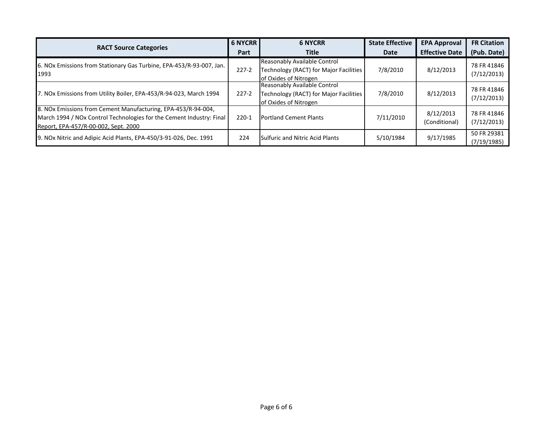| <b>RACT Source Categories</b>                                                                                                                                                 | <b>6 NYCRR</b><br>Part | <b>6 NYCRR</b><br><b>Title</b>                                                                  | <b>State Effective</b><br>Date | <b>EPA Approval</b><br><b>Effective Date</b> | <b>FR Citation</b><br>(Pub. Date) |
|-------------------------------------------------------------------------------------------------------------------------------------------------------------------------------|------------------------|-------------------------------------------------------------------------------------------------|--------------------------------|----------------------------------------------|-----------------------------------|
| 6. NOx Emissions from Stationary Gas Turbine, EPA-453/R-93-007, Jan.<br>1993                                                                                                  | $227-2$                | Reasonably Available Control<br>Technology (RACT) for Major Facilities<br>of Oxides of Nitrogen | 7/8/2010                       | 8/12/2013                                    | 78 FR 41846<br>(7/12/2013)        |
| 7. NOx Emissions from Utility Boiler, EPA-453/R-94-023, March 1994                                                                                                            | $227-2$                | Reasonably Available Control<br>Technology (RACT) for Major Facilities<br>of Oxides of Nitrogen | 7/8/2010                       | 8/12/2013                                    | 78 FR 41846<br>(7/12/2013)        |
| 8. NOx Emissions from Cement Manufacturing, EPA-453/R-94-004,<br>March 1994 / NOx Control Technologies for the Cement Industry: Final<br>Report, EPA-457/R-00-002, Sept. 2000 | $220-1$                | <b>Portland Cement Plants</b>                                                                   | 7/11/2010                      | 8/12/2013<br>(Conditional)                   | 78 FR 41846<br>(7/12/2013)        |
| 9. NOx Nitric and Adipic Acid Plants, EPA-450/3-91-026, Dec. 1991                                                                                                             | 224                    | <b>Sulfuric and Nitric Acid Plants</b>                                                          | 5/10/1984                      | 9/17/1985                                    | 50 FR 29381<br>(7/19/1985)        |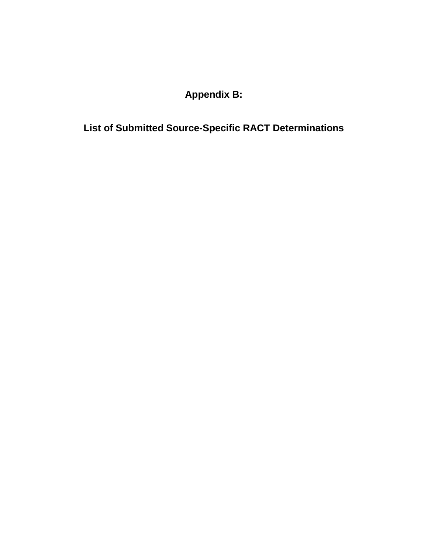**Appendix B:**

**List of Submitted Source-Specific RACT Determinations**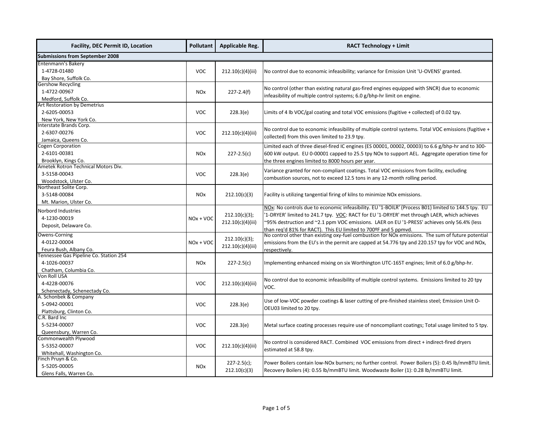| <b>Facility, DEC Permit ID, Location</b> | <b>Pollutant</b>      | <b>Applicable Reg.</b> | <b>RACT Technology + Limit</b>                                                                                                                                       |  |  |                                                                                                 |
|------------------------------------------|-----------------------|------------------------|----------------------------------------------------------------------------------------------------------------------------------------------------------------------|--|--|-------------------------------------------------------------------------------------------------|
| <b>Submissions from September 2008</b>   |                       |                        |                                                                                                                                                                      |  |  |                                                                                                 |
| <b>Entenmann's Bakery</b>                |                       |                        |                                                                                                                                                                      |  |  |                                                                                                 |
| 1-4728-01480                             | <b>VOC</b>            | 212.10(c)(4)(iii)      | No control due to economic infeasibility; variance for Emission Unit 'U-OVENS' granted.                                                                              |  |  |                                                                                                 |
| Bay Shore, Suffolk Co.                   |                       |                        |                                                                                                                                                                      |  |  |                                                                                                 |
| <b>Gershow Recycling</b>                 |                       |                        |                                                                                                                                                                      |  |  |                                                                                                 |
| 1-4722-00967                             | <b>NOx</b>            | $227 - 2.4(f)$         | No control (other than existing natural gas-fired engines equipped with SNCR) due to economic                                                                        |  |  |                                                                                                 |
| Medford, Suffolk Co.                     |                       |                        | infeasibility of multiple control systems; 6.0 g/bhp-hr limit on engine.                                                                                             |  |  |                                                                                                 |
| Art Restoration by Demetrius             |                       |                        |                                                                                                                                                                      |  |  |                                                                                                 |
| 2-6205-00053                             | <b>VOC</b>            | 228.3(e)               | Limits of 4 lb VOC/gal coating and total VOC emissions (fugitive + collected) of 0.02 tpy.                                                                           |  |  |                                                                                                 |
| New York, New York Co.                   |                       |                        |                                                                                                                                                                      |  |  |                                                                                                 |
| Interstate Brands Corp.                  |                       |                        | No control due to economic infeasibility of multiple control systems. Total VOC emissions (fugitive +                                                                |  |  |                                                                                                 |
| 2-6307-00276                             | <b>VOC</b>            | 212.10(c)(4)(iii)      | collected) from this oven limited to 23.9 tpy.                                                                                                                       |  |  |                                                                                                 |
| Jamaica, Queens Co.                      |                       |                        |                                                                                                                                                                      |  |  |                                                                                                 |
| Cogen Corporation                        |                       |                        | Limited each of three diesel-fired IC engines (ES 00001, 00002, 00003) to 6.6 g/bhp-hr and to 300-                                                                   |  |  |                                                                                                 |
| 2-6101-00381                             | <b>NO<sub>x</sub></b> | $227 - 2.5(c)$         | 600 kW output. EU 0-00001 capped to 25.5 tpy NOx to support AEL. Aggregate operation time for                                                                        |  |  |                                                                                                 |
| Brooklyn, Kings Co.                      |                       |                        | the three engines limited to 8000 hours per year.                                                                                                                    |  |  |                                                                                                 |
| Ametek Rotron Technical Motors Div.      |                       |                        | Variance granted for non-compliant coatings. Total VOC emissions from facility, excluding                                                                            |  |  |                                                                                                 |
| 3-5158-00043                             | <b>VOC</b>            | 228.3(e)               | combustion sources, not to exceed 12.5 tons in any 12-month rolling period.                                                                                          |  |  |                                                                                                 |
| Woodstock, Ulster Co.                    |                       |                        |                                                                                                                                                                      |  |  |                                                                                                 |
| Northeast Solite Corp.                   |                       |                        |                                                                                                                                                                      |  |  |                                                                                                 |
| 3-5148-00084                             | <b>NO<sub>x</sub></b> | 212.10(c)(3)           | Facility is utilizing tangential firing of kilns to minimize NOx emissions.                                                                                          |  |  |                                                                                                 |
| Mt. Marion, Ulster Co.                   |                       |                        | NOx: No controls due to economic infeasibility. EU '1-BOILR' (Process B01) limited to 144.5 tpy. EU                                                                  |  |  |                                                                                                 |
| Norbord Industries                       |                       |                        |                                                                                                                                                                      |  |  |                                                                                                 |
| 4-1230-00019                             | $NOx + VOC$           | 212.10(c)(3);          | '1-DRYER' limited to 241.7 tpy. VOC: RACT for EU '1-DRYER' met through LAER, which achieves                                                                          |  |  |                                                                                                 |
| Deposit, Delaware Co.                    |                       | 212.10(c)(4)(iii)      | ~95% destruction and ~2.1 ppm VOC emissions. LAER on EU '1-PRESS' achieves only 56.4% (less                                                                          |  |  |                                                                                                 |
| Owens-Corning                            |                       |                        | than reg'd 81% for RACT). This EU limited to 700ºF and 5 ppmyd.<br>No control other than existing oxy-fuel combustion for NOx emissions. The sum of future potential |  |  |                                                                                                 |
| 4-0122-00004                             | 212.10(c)(3);         |                        | $NOx + VOC$                                                                                                                                                          |  |  | emissions from the EU's in the permit are capped at 54.776 tpy and 220.157 tpy for VOC and NOx, |
| Feura Bush, Albany Co.                   |                       | 212.10(c)(4)(iii)      | respectively.                                                                                                                                                        |  |  |                                                                                                 |
| Tennessee Gas Pipeline Co. Station 254   |                       |                        |                                                                                                                                                                      |  |  |                                                                                                 |
| 4-1026-00037                             | <b>NO<sub>x</sub></b> | $227 - 2.5(c)$         | Implementing enhanced mixing on six Worthington UTC-165T engines; limit of 6.0 g/bhp-hr.                                                                             |  |  |                                                                                                 |
| Chatham, Columbia Co.                    |                       |                        |                                                                                                                                                                      |  |  |                                                                                                 |
| Von Roll USA                             |                       |                        |                                                                                                                                                                      |  |  |                                                                                                 |
| 4-4228-00076                             | <b>VOC</b>            | 212.10(c)(4)(iii)      | No control due to economic infeasibility of multiple control systems. Emissions limited to 20 tpy                                                                    |  |  |                                                                                                 |
| Schenectady, Schenectady Co.             |                       |                        | VOC.                                                                                                                                                                 |  |  |                                                                                                 |
| A. Schonbek & Company                    |                       |                        |                                                                                                                                                                      |  |  |                                                                                                 |
| 5-0942-00001                             | <b>VOC</b>            | 228.3(e)               | Use of low-VOC powder coatings & laser cutting of pre-finished stainless steel; Emission Unit O-                                                                     |  |  |                                                                                                 |
| Plattsburg, Clinton Co.                  |                       |                        | OEU03 limited to 20 tpy.                                                                                                                                             |  |  |                                                                                                 |
| C.R. Bard Inc                            |                       |                        |                                                                                                                                                                      |  |  |                                                                                                 |
| 5-5234-00007                             | <b>VOC</b>            | 228.3(e)               | Metal surface coating processes require use of noncompliant coatings; Total usage limited to 5 tpy.                                                                  |  |  |                                                                                                 |
| Queensbury, Warren Co.                   |                       |                        |                                                                                                                                                                      |  |  |                                                                                                 |
| Commonwealth Plywood                     |                       |                        |                                                                                                                                                                      |  |  |                                                                                                 |
| 5-5352-00007                             | <b>VOC</b>            | 212.10(c)(4)(iii)      | No control is considered RACT. Combined VOC emissions from direct + indirect-fired dryers                                                                            |  |  |                                                                                                 |
| Whitehall, Washington Co.                |                       |                        | estimated at 58.8 tpy.                                                                                                                                               |  |  |                                                                                                 |
| Finch Pruyn & Co.                        |                       | $227 - 2.5(c)$ ;       | Power Boilers contain low-NOx burners; no further control. Power Boilers (5): 0.45 lb/mmBTU limit.                                                                   |  |  |                                                                                                 |
| 5-5205-00005                             | <b>NOx</b>            |                        |                                                                                                                                                                      |  |  |                                                                                                 |
| Glens Falls, Warren Co.                  |                       | 212.10(c)(3)           | Recovery Boilers (4): 0.55 lb/mmBTU limit. Woodwaste Boiler (1): 0.28 lb/mmBTU limit.                                                                                |  |  |                                                                                                 |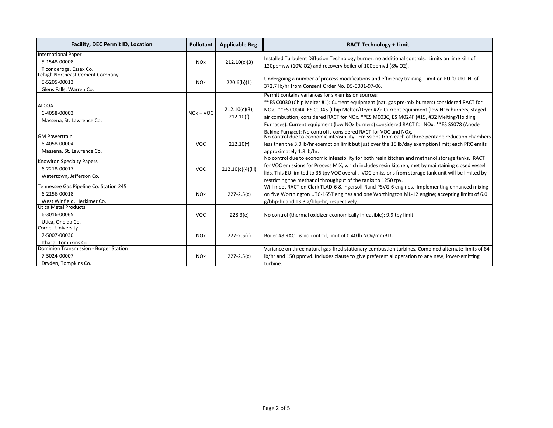| <b>Facility, DEC Permit ID, Location</b>                   | <b>Pollutant</b>      | <b>Applicable Reg.</b>     | <b>RACT Technology + Limit</b>                                                                                                                                                                                                                                                                                                                                                                                                                                                                                  |
|------------------------------------------------------------|-----------------------|----------------------------|-----------------------------------------------------------------------------------------------------------------------------------------------------------------------------------------------------------------------------------------------------------------------------------------------------------------------------------------------------------------------------------------------------------------------------------------------------------------------------------------------------------------|
| <b>International Paper</b><br>5-1548-00008                 | <b>NO<sub>x</sub></b> | 212.10(c)(3)               | Installed Turbulent Diffusion Technology burner; no additional controls. Limits on lime kiln of                                                                                                                                                                                                                                                                                                                                                                                                                 |
| Ticonderoga, Essex Co.                                     |                       |                            | 120ppmvw (10% O2) and recovery boiler of 100ppmvd (8% O2).                                                                                                                                                                                                                                                                                                                                                                                                                                                      |
| Lehigh Northeast Cement Company                            |                       |                            | Undergoing a number of process modifications and efficiency training. Limit on EU '0-UKILN' of                                                                                                                                                                                                                                                                                                                                                                                                                  |
| 5-5205-00013                                               | <b>NO<sub>x</sub></b> | 220.6(b)(1)                | 372.7 lb/hr from Consent Order No. D5-0001-97-06.                                                                                                                                                                                                                                                                                                                                                                                                                                                               |
| Glens Falls, Warren Co.                                    |                       |                            |                                                                                                                                                                                                                                                                                                                                                                                                                                                                                                                 |
| <b>ALCOA</b><br>6-4058-00003<br>Massena, St. Lawrence Co.  | $NOx + VOC$           | 212.10(c)(3);<br>212.10(f) | Permit contains variances for six emission sources:<br>**ES C0030 (Chip Melter #1): Current equipment (nat. gas pre-mix burners) considered RACT for<br>NOx. **ES C0044, ES C0045 (Chip Melter/Dryer #2): Current equipment (low NOx burners, staged<br>air combustion) considered RACT for NOx. **ES M003C, ES M024F (#15, #32 Melting/Holding<br>Furnaces): Current equipment (low NOx burners) considered RACT for NOx. **ES SS078 (Anode<br>Baking Furnace): No control is considered RACT for VOC and NOx. |
| <b>GM Powertrain</b>                                       |                       |                            | No control due to economic infeasibility. Emissions from each of three pentane reduction chambers                                                                                                                                                                                                                                                                                                                                                                                                               |
| 6-4058-00004                                               | <b>VOC</b>            | 212.10(f)                  | less than the 3.0 lb/hr exemption limit but just over the 15 lb/day exemption limit; each PRC emits                                                                                                                                                                                                                                                                                                                                                                                                             |
| Massena, St. Lawrence Co.                                  |                       |                            | approximately 1.8 lb/hr.                                                                                                                                                                                                                                                                                                                                                                                                                                                                                        |
| <b>Knowlton Specialty Papers</b>                           |                       |                            | No control due to economic infeasibility for both resin kitchen and methanol storage tanks. RACT                                                                                                                                                                                                                                                                                                                                                                                                                |
| 6-2218-00017                                               | <b>VOC</b>            | 212.10(c)(4)(iii)          | for VOC emissions for Process MIX, which includes resin kitchen, met by maintaining closed vessel                                                                                                                                                                                                                                                                                                                                                                                                               |
| Watertown, Jefferson Co.                                   |                       |                            | lids. This EU limited to 36 tpy VOC overall. VOC emissions from storage tank unit will be limited by                                                                                                                                                                                                                                                                                                                                                                                                            |
|                                                            |                       |                            | restricting the methanol throughput of the tanks to 1250 tpy.                                                                                                                                                                                                                                                                                                                                                                                                                                                   |
| Tennessee Gas Pipeline Co. Station 245                     |                       |                            | Will meet RACT on Clark TLAD-6 & Ingersoll-Rand PSVG-6 engines. Implementing enhanced mixing                                                                                                                                                                                                                                                                                                                                                                                                                    |
| 6-2156-00018                                               | <b>NO<sub>x</sub></b> | $227 - 2.5(c)$             | on five Worthington UTC-165T engines and one Worthington ML-12 engine; accepting limits of 6.0                                                                                                                                                                                                                                                                                                                                                                                                                  |
| West Winfield, Herkimer Co.<br><b>Utica Metal Products</b> |                       |                            | g/bhp-hr and 13.3 g/bhp-hr, respectively.                                                                                                                                                                                                                                                                                                                                                                                                                                                                       |
| 6-3016-00065                                               | <b>VOC</b>            | 228.3(e)                   | No control (thermal oxidizer economically infeasible); 9.9 tpy limit.                                                                                                                                                                                                                                                                                                                                                                                                                                           |
| Utica, Oneida Co.                                          |                       |                            |                                                                                                                                                                                                                                                                                                                                                                                                                                                                                                                 |
| <b>Cornell University</b>                                  |                       |                            |                                                                                                                                                                                                                                                                                                                                                                                                                                                                                                                 |
| 7-5007-00030                                               | <b>NO<sub>x</sub></b> | $227 - 2.5(c)$             | Boiler #8 RACT is no control; limit of 0.40 lb NOx/mmBTU.                                                                                                                                                                                                                                                                                                                                                                                                                                                       |
| Ithaca, Tompkins Co.                                       |                       |                            |                                                                                                                                                                                                                                                                                                                                                                                                                                                                                                                 |
| <b>Dominion Transmission - Borger Station</b>              |                       |                            | Variance on three natural gas-fired stationary combustion turbines. Combined alternate limits of 84                                                                                                                                                                                                                                                                                                                                                                                                             |
| 7-5024-00007                                               | <b>NO<sub>x</sub></b> | $227 - 2.5(c)$             | lb/hr and 150 ppmvd. Includes clause to give preferential operation to any new, lower-emitting                                                                                                                                                                                                                                                                                                                                                                                                                  |
| Dryden, Tompkins Co.                                       |                       |                            | turbine.                                                                                                                                                                                                                                                                                                                                                                                                                                                                                                        |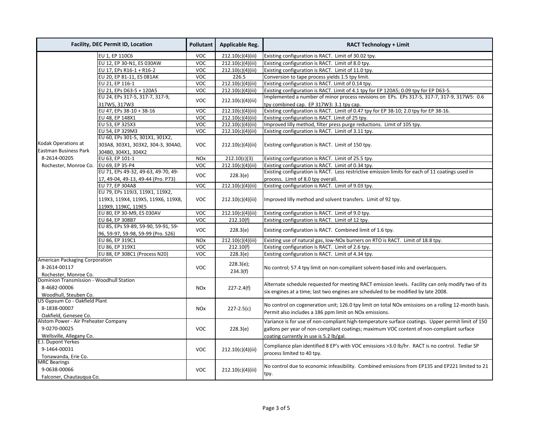| <b>Facility, DEC Permit ID, Location</b> |                                     | Pollutant             | <b>Applicable Reg.</b>                   | <b>RACT Technology + Limit</b>                                                                       |
|------------------------------------------|-------------------------------------|-----------------------|------------------------------------------|------------------------------------------------------------------------------------------------------|
|                                          | EU 1, EP 110C6                      | <b>VOC</b>            | 212.10(c)(4)(iii)                        | Existing configuration is RACT. Limit of 30.02 tpy.                                                  |
|                                          | EU 12, EP 30-N1, ES 030AW           | <b>VOC</b>            | 212.10(c)(4)(iii)                        | Existing configuration is RACT. Limit of 8.0 tpy.                                                    |
|                                          | EU 17, EPs R16-1 + R16-2            | <b>VOC</b>            | 212.10(c)(4)(iii)                        | Existing configuration is RACT. Limit of 11.0 tpy.                                                   |
|                                          | EU 20, EP 81-11, ES 081AK           | <b>VOC</b>            | 226.5                                    | Conversion to tape process yields 1.5 tpy limit.                                                     |
|                                          | EU 21, EP 116-1                     | <b>VOC</b>            | 212.10(c)(4)(iii)                        | Existing configuration is RACT. Limit of 0.14 tpy.                                                   |
|                                          | EU 21, EPs D63-5 + 120A5            | <b>VOC</b>            | 212.10(c)(4)(iii)                        | Existing configuration is RACT. Limit of 4.1 tpy for EP 120A5; 0.09 tpy for EP D63-5.                |
|                                          | EU 24, EPs 317-5, 317-7, 317-9,     | <b>VOC</b>            | 212.10(c)(4)(iii)                        | Implemented a number of minor process revisions on EPs. EPs 317-5, 317-7, 317-9, 317W5: 0.6          |
|                                          | 317W5, 317W3                        |                       | tpy combined cap. EP 317W3: 3.1 tpy cap. |                                                                                                      |
|                                          | EU 47, EPs 38-10 + 38-16            | <b>VOC</b>            | 212.10(c)(4)(iii)                        | Existing configuration is RACT. Limit of 0.47 tpy for EP 38-10; 2.0 tpy for EP 38-16.                |
|                                          | EU 48, EP 148X1                     | <b>VOC</b>            | 212.10(c)(4)(iii)                        | Existing configuration is RACT. Limit of 25 tpy.                                                     |
|                                          | EU 53, EP 325X3                     | <b>VOC</b>            | 212.10(c)(4)(iii)                        | Improved lilly method, filter press purge reductions. Limit of 105 tpy.                              |
|                                          | EU 54, EP 329M3                     | <b>VOC</b>            | 212.10(c)(4)(iii)                        | Existing configuration is RACT. Limit of 3.11 tpy.                                                   |
|                                          | EU 60, EPs 301-5, 301X1, 301X2,     |                       |                                          |                                                                                                      |
| Kodak Operations at                      | 303A8, 303X1, 303X2, 304-3, 304A0,  | <b>VOC</b>            | 212.10(c)(4)(iii)                        | Existing configuration is RACT. Limit of 150 tpy.                                                    |
| <b>Eastman Business Park</b>             | 304B0, 304X1, 304X2                 |                       |                                          |                                                                                                      |
| 8-2614-00205                             | EU 63, EP 101-1                     | <b>NO<sub>x</sub></b> | 212.10(c)(3)                             | Existing configuration is RACT. Limit of 25.5 tpy.                                                   |
| Rochester, Monroe Co.                    | EU 69, EP 35-P4                     | <b>VOC</b>            | 212.10(c)(4)(iii)                        | Existing configuration is RACT. Limit of 0.34 tpy.                                                   |
|                                          | EU 71, EPs 49-32, 49-63, 49-70, 49- |                       |                                          | Existing configuration is RACT. Less restrictive emission limits for each of 11 coatings used in     |
|                                          | 17, 49-04, 49-13, 49-44 (Pro. P73)  | <b>VOC</b>            | 228.3(e)                                 | process. Limit of 8.0 tpy overall.                                                                   |
|                                          | EU 77, EP 304A8                     | <b>VOC</b>            | 212.10(c)(4)(iii)                        | Existing configuration is RACT. Limit of 9.03 tpy.                                                   |
|                                          | EU 79, EPs 119J3, 119X1, 119X2,     | <b>VOC</b>            |                                          | Improved lilly method and solvent transfers. Limit of 92 tpy.                                        |
|                                          | 119X3, 119X4, 119X5, 119X6, 119X8,  |                       | 212.10(c)(4)(iii)                        |                                                                                                      |
|                                          | 119X9, 119KC, 119E5                 |                       |                                          |                                                                                                      |
|                                          | EU 80, EP 30-M9, ES 030AV           | <b>VOC</b>            | 212.10(c)(4)(iii)                        | Existing configuration is RACT. Limit of 9.0 tpy.                                                    |
|                                          | EU 84, EP 308B7                     | <b>VOC</b>            | 212.10(f)                                | Existing configuration is RACT. Limit of 12 tpy.                                                     |
|                                          | EU 85, EPs 59-89, 59-90, 59-91, 59- |                       |                                          |                                                                                                      |
|                                          | 96, 59-97, 59-98, 59-99 (Pro. S26)  | <b>VOC</b>            | 228.3(e)                                 | Existing configuration is RACT. Combined limit of 1.6 tpy.                                           |
|                                          | EU 86, EP 319C1                     | <b>NO<sub>x</sub></b> | 212.10(c)(4)(iii)                        | Existing use of natural gas, low-NOx burners on RTO is RACT. Limit of 18.8 tpy.                      |
|                                          | EU 86, EP 319X1                     | <b>VOC</b>            | 212.10(f)                                | Existing configuration is RACT. Limit of 2.6 tpy.                                                    |
|                                          | EU 88, EP 308C1 (Process N20)       | <b>VOC</b>            | 228.3(e)                                 | Existing configuration is RACT. Limit of 4.34 tpy.                                                   |
| American Packaging Corporation           |                                     |                       |                                          |                                                                                                      |
| 8-2614-00117                             |                                     | <b>VOC</b>            | 228.3(e);                                | No control; 57.4 tpy limit on non-compliant solvent-based inks and overlacquers.                     |
| Rochester, Monroe Co.                    |                                     |                       | 234.3(f)                                 |                                                                                                      |
| Dominion Transmission - Woodhull Station |                                     |                       |                                          |                                                                                                      |
| 8-4682-00006                             |                                     | <b>NO<sub>x</sub></b> | $227 - 2.4(f)$                           | Alternate schedule requested for meeting RACT emission levels. Facility can only modify two of its   |
| Woodhull, Steuben Co.                    |                                     |                       |                                          | six engines at a time; last two engines are scheduled to be modified by late 2008.                   |
|                                          | US Gypsum Co - Oakfield Plant       |                       |                                          |                                                                                                      |
| 8-1838-00007                             |                                     | <b>NOx</b>            | $227 - 2.5(c)$                           | No control on cogeneration unit; 126.0 tpy limit on total NOx emissions on a rolling 12-month basis. |
| Oakfield, Genesee Co.                    |                                     |                       |                                          | Permit also includes a 186 ppm limit on NOx emissions.                                               |
| Alstom Power - Air Preheater Company     |                                     |                       |                                          | Variance is for use of non-compliant high-temperature surface coatings. Upper permit limit of 150    |
| 9-0270-00025                             |                                     | <b>VOC</b>            | 228.3(e)                                 | gallons per year of non-compliant coatings; maximum VOC content of non-compliant surface             |
| Wellsville, Allegany Co.                 |                                     |                       |                                          | coating currently in use is 5.2 lb/gal.                                                              |
| E.I. Dupont Yerkes                       |                                     |                       |                                          |                                                                                                      |
| 9-1464-00031                             |                                     | <b>VOC</b>            | 212.10(c)(4)(iii)                        | Compliance plan identified 8 EP's with VOC emissions > 3.0 lb/hr. RACT is no control. Tedlar SP      |
| Tonawanda, Erie Co.                      |                                     |                       |                                          | process limited to 40 tpy.                                                                           |
| <b>MRC Bearings</b>                      |                                     |                       |                                          |                                                                                                      |
| 9-0638-00066                             |                                     | <b>VOC</b>            | 212.10(c)(4)(iii)                        | No control due to economic infeasibility. Combined emissions from EP135 and EP221 limited to 21      |
| Falconer, Chautauqua Co.                 |                                     |                       |                                          | tpy.                                                                                                 |
|                                          |                                     |                       |                                          |                                                                                                      |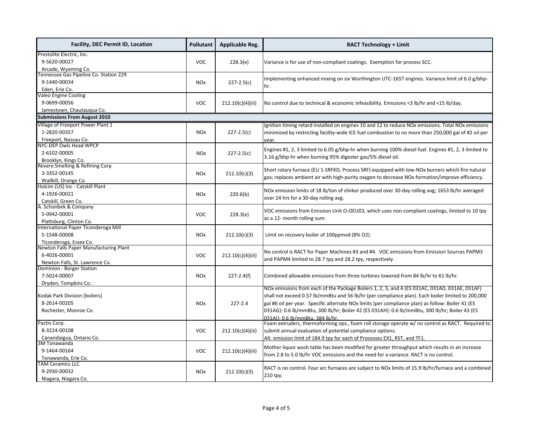| <b>Facility, DEC Permit ID, Location</b>                    | <b>Pollutant</b>                      | <b>Applicable Reg.</b> | <b>RACT Technology + Limit</b>                                                                                                       |  |  |
|-------------------------------------------------------------|---------------------------------------|------------------------|--------------------------------------------------------------------------------------------------------------------------------------|--|--|
| Prestolite Electric, Inc.                                   |                                       |                        |                                                                                                                                      |  |  |
| 9-5620-00027                                                | <b>VOC</b>                            | 228.3(e)               | Variance is for use of non-compliant coatings. Exemption for process SCC.                                                            |  |  |
| Arcade, Wyoming Co.                                         |                                       |                        |                                                                                                                                      |  |  |
| Fennessee Gas Pipeline Co. Station 229                      |                                       |                        | Implementing enhanced mixing on six Worthington UTC-165T engines. Variance limit of 6.0 g/bhp-                                       |  |  |
| 9-1440-00034                                                | <b>NO<sub>x</sub></b>                 | $227 - 2.5(c)$         |                                                                                                                                      |  |  |
| Eden, Erie Co.                                              |                                       |                        | hr.                                                                                                                                  |  |  |
| Valeo Engine Cooling                                        |                                       |                        |                                                                                                                                      |  |  |
| 9-0699-00056                                                | VOC                                   | 212.10(c)(4)(iii)      | No control due to technical & economic infeasibility. Emissions <3 lb/hr and <15 lb/day.                                             |  |  |
| Jamestown, Chautauqua Co.                                   |                                       |                        |                                                                                                                                      |  |  |
| <b>Submissions From August 2010</b>                         |                                       |                        |                                                                                                                                      |  |  |
| Village of Freeport Power Plant 1                           |                                       |                        | Ignition timing retard installed on engines 10 and 12 to reduce NOx emissions. Total NOx emissions                                   |  |  |
| 1-2820-00357                                                | <b>NO<sub>x</sub></b>                 | $227 - 2.5(c)$         | minimized by restricting facility-wide ICE fuel combustion to no more than 250,000 gal of #2 oil per                                 |  |  |
| Freeport, Nassau Co.                                        |                                       |                        | year.                                                                                                                                |  |  |
| NYC-DEP Owls Head WPCP                                      |                                       |                        |                                                                                                                                      |  |  |
| 2-6102-00005                                                | <b>NO<sub>x</sub></b>                 | $227 - 2.5(c)$         | Engines #1, 2, 3 limited to 6.05 g/bhp-hr when burning 100% diesel fuel. Engines #1, 2, 3 limited to                                 |  |  |
| Brooklyn, Kings Co.                                         |                                       |                        | 3.16 g/bhp-hr when burning 95% digester gas/5% diesel oil.                                                                           |  |  |
| Revere Smelting & Refining Corp                             |                                       |                        | Short rotary furnace (EU 1-SRFKD, Process SRF) equipped with low-NOx burners which fire natural                                      |  |  |
| 3-3352-00145                                                | <b>NO<sub>x</sub></b>                 | 212.10(c)(3)           |                                                                                                                                      |  |  |
| Wallkill, Orange Co.                                        |                                       |                        | gas; replaces ambient air with high-purity oxygen to decrease NOx formation/improve efficiency.                                      |  |  |
| Holcim (US) Inc - Catskill Plant                            |                                       |                        | NOx emission limits of 18 lb/ton of clinker produced over 30-day rolling avg; 1653 lb/hr averaged                                    |  |  |
| 4-1926-00021                                                | <b>NO<sub>x</sub></b>                 | 220.6(b)               | over 24 hrs for a 30-day rolling avg.                                                                                                |  |  |
| Catskill, Green Co.                                         |                                       |                        |                                                                                                                                      |  |  |
| A. Schonbek & Company                                       |                                       |                        | VOC emissions from Emission Unit O-OEU03, which uses non-compliant coatings, limited to 10 tpy                                       |  |  |
| 5-0942-00001                                                | <b>VOC</b>                            | 228.3(e)               | as a 12- month rolling sum.                                                                                                          |  |  |
| Plattsburg, Clinton Co.                                     |                                       |                        |                                                                                                                                      |  |  |
| International Paper Ticonderoga Mill                        |                                       |                        |                                                                                                                                      |  |  |
| 5-1548-00008                                                | <b>NO<sub>x</sub></b>                 | 212.10(c)(3)           | Limit on recovery boiler of 100ppmvd (8% O2).                                                                                        |  |  |
| Ticonderoga, Essex Co.                                      |                                       |                        |                                                                                                                                      |  |  |
| Newton Falls Paper Manufacturing Plant                      |                                       |                        | No control is RACT for Paper Machines #3 and #4. VOC emissions from Emission Sources PAPM3                                           |  |  |
| 6-4026-00001                                                | <b>VOC</b>                            | 212.10(c)(4)(iii)      | and PAPM4 limited to 28.7 tpy and 28.2 tpy, respectively.                                                                            |  |  |
| Newton Falls, St. Lawrence Co.<br>Dominion - Borger Station |                                       |                        |                                                                                                                                      |  |  |
|                                                             |                                       |                        |                                                                                                                                      |  |  |
| 7-5024-00007                                                | <b>NO<sub>x</sub></b>                 | $227 - 2.4(f)$         | Combined allowable emissions from three turbines lowered from 84 lb/hr to 61 lb/hr.                                                  |  |  |
| Dryden, Tompkins Co.                                        |                                       |                        | NOx emissions from each of the Package Boilers 1, 2, 3, and 4 (ES 031AC, 031AD, 031AE, 031AF)                                        |  |  |
| Kodak Park Division [boilers]                               |                                       |                        | shall not exceed 0.57 lb/mmBtu and 56 lb/hr (per compliance plan). Each boiler limited to 200,000                                    |  |  |
| 8-2614-00205                                                |                                       | $227 - 2.4$            |                                                                                                                                      |  |  |
|                                                             | <b>NOx</b>                            |                        | gal #6 oil per year. Specific alternate NOx limits (per compliance plan) as follow: Boiler 41 (ES                                    |  |  |
| Rochester, Monroe Co.                                       |                                       |                        | 031AG): 0.6 lb/mmBtu, 300 lb/hr; Boiler 42 (ES 031AH): 0.6 lb/mmBtu, 300 lb/hr; Boiler 43 (ES                                        |  |  |
| Pactiv Corp.                                                |                                       |                        | 031AI): 0.6 lb/mmBtu. 384 lb/hr.<br>Foam extruders, thermoforming ops., foam roll storage operate w/ no control as RACT. Required to |  |  |
| 8-3224-00108                                                | VOC                                   | 212.10(c)(4)(iii)      | submit annual evaluation of potential compliance options.                                                                            |  |  |
| Canandaigua, Ontario Co.                                    |                                       |                        | Alt. emission limit of 184.9 tpy for each of Processes EX1, RST, and TF1.                                                            |  |  |
| 3M Tonawanda                                                |                                       |                        |                                                                                                                                      |  |  |
| 9-1464-00164                                                | <b>VOC</b>                            | 212.10(c)(4)(iii)      | Mother liquor wash table has been modified for greater throughput which results in an increase                                       |  |  |
| Tonawanda, Erie Co.                                         |                                       |                        | from 2.8 to 5.0 lb/hr VOC emissions and the need for a variance. RACT is no control.                                                 |  |  |
| <b>TAM Ceramics LLC</b>                                     |                                       |                        |                                                                                                                                      |  |  |
| 9-2930-00032                                                | 212.10(c)(3)<br><b>NO<sub>x</sub></b> |                        | RACT is no control. Four arc furnaces are subject to NOx limits of 15.9 lb/hr/furnace and a combined                                 |  |  |
| Niagara, Niagara Co.                                        |                                       |                        | 210 tpy.                                                                                                                             |  |  |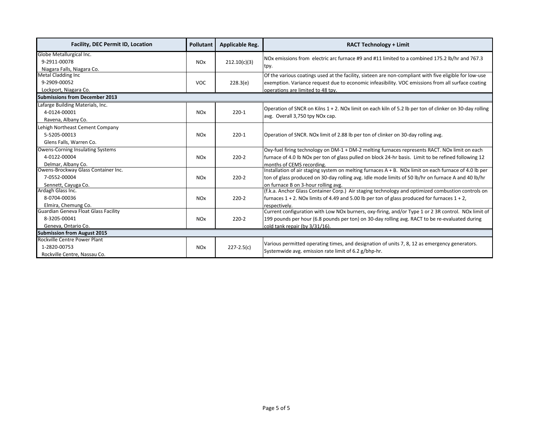| <b>Facility, DEC Permit ID, Location</b> | <b>Pollutant</b>      | <b>Applicable Reg.</b> | <b>RACT Technology + Limit</b>                                                                          |  |
|------------------------------------------|-----------------------|------------------------|---------------------------------------------------------------------------------------------------------|--|
| Globe Metallurgical Inc.                 |                       |                        | NOx emissions from electric arc furnace #9 and #11 limited to a combined 175.2 lb/hr and 767.3          |  |
| 9-2911-00078                             | <b>NO<sub>x</sub></b> | 212.10(c)(3)           |                                                                                                         |  |
| Niagara Falls, Niagara Co.               |                       |                        | tpy.                                                                                                    |  |
| Metal Cladding Inc                       |                       |                        | Of the various coatings used at the facility, sixteen are non-compliant with five eligible for low-use  |  |
| 9-2909-00052                             | <b>VOC</b>            | 228.3(e)               | exemption. Variance request due to economic infeasibility. VOC emissions from all surface coating       |  |
| Lockport, Niagara Co.                    |                       |                        | operations are limited to 48 tpy.                                                                       |  |
| <b>Submissions from December 2013</b>    |                       |                        |                                                                                                         |  |
| Lafarge Building Materials, Inc.         |                       |                        | Operation of SNCR on Kilns 1 + 2. NOx limit on each kiln of 5.2 lb per ton of clinker on 30-day rolling |  |
| 4-0124-00001                             | <b>NO<sub>x</sub></b> | $220-1$                |                                                                                                         |  |
| Ravena, Albany Co.                       |                       |                        | avg. Overall 3,750 tpy NOx cap.                                                                         |  |
| Lehigh Northeast Cement Company          |                       |                        |                                                                                                         |  |
| 5-5205-00013                             | <b>NO<sub>x</sub></b> | $220-1$                | Operation of SNCR. NOx limit of 2.88 lb per ton of clinker on 30-day rolling avg.                       |  |
| Glens Falls, Warren Co.                  |                       |                        |                                                                                                         |  |
| <b>Owens-Corning Insulating Systems</b>  |                       |                        | Oxy-fuel firing technology on DM-1 + DM-2 melting furnaces represents RACT. NOx limit on each           |  |
| 4-0122-00004                             | <b>NO<sub>x</sub></b> | $220 - 2$              | furnace of 4.0 lb NOx per ton of glass pulled on block 24-hr basis. Limit to be refined following 12    |  |
| Delmar, Albany Co.                       |                       |                        | months of CEMS recording.                                                                               |  |
| Owens-Brockway Glass Container Inc.      |                       |                        | Installation of air staging system on melting furnaces A + B. NOx limit on each furnace of 4.0 lb per   |  |
| 7-0552-00004                             | <b>NO<sub>x</sub></b> | $220-2$                | ton of glass produced on 30-day rolling avg. Idle mode limits of 50 lb/hr on furnace A and 40 lb/hr     |  |
| Sennett, Cayuga Co.                      |                       |                        | on furnace B on 3-hour rolling avg.                                                                     |  |
| Ardagh Glass Inc.                        |                       |                        | (f.k.a. Anchor Glass Container Corp.) Air staging technology and optimized combustion controls on       |  |
| 8-0704-00036                             | <b>NO<sub>x</sub></b> | $220 - 2$              | furnaces $1 + 2$ . NOx limits of 4.49 and 5.00 lb per ton of glass produced for furnaces $1 + 2$ ,      |  |
| Elmira, Chemung Co.                      |                       |                        | respectively.                                                                                           |  |
| Guardian Geneva Float Glass Facility     |                       |                        | Current configuration with Low NOx burners, oxy-firing, and/or Type 1 or 2 3R control. NOx limit of     |  |
| 8-3205-00041                             | <b>NO<sub>x</sub></b> | $220-2$                | 199 pounds per hour (6.8 pounds per ton) on 30-day rolling avg. RACT to be re-evaluated during          |  |
| Geneva, Ontario Co.                      |                       |                        | cold tank repair (by 3/31/16).                                                                          |  |
| <b>Submission from August 2015</b>       |                       |                        |                                                                                                         |  |
| Rockville Centre Power Plant             |                       |                        | Various permitted operating times, and designation of units 7, 8, 12 as emergency generators.           |  |
| 1-2820-00753                             | <b>NO<sub>x</sub></b> | $227 - 2.5(c)$         |                                                                                                         |  |
| Rockville Centre, Nassau Co.             |                       |                        | Systemwide avg. emission rate limit of 6.2 g/bhp-hr.                                                    |  |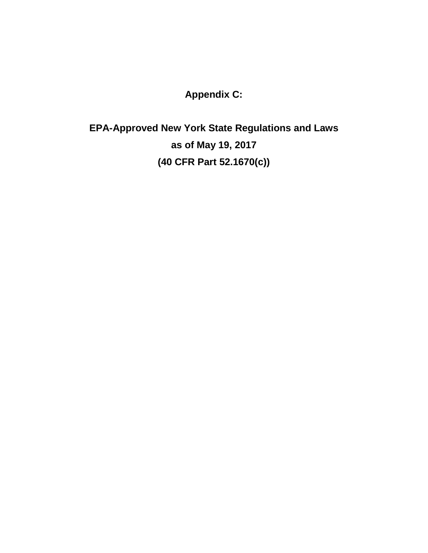**Appendix C:**

**EPA-Approved New York State Regulations and Laws as of May 19, 2017 (40 CFR Part 52.1670(c))**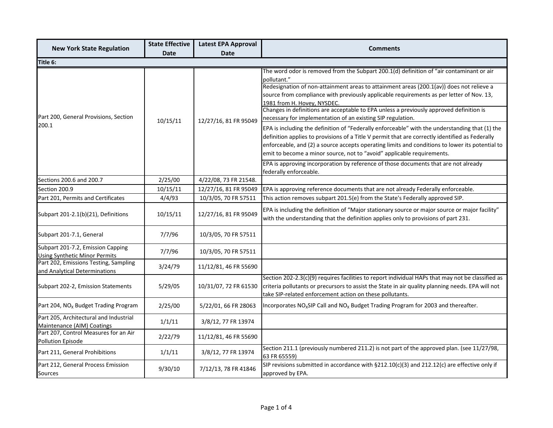|                                                                           | <b>State Effective</b><br><b>Latest EPA Approval</b> |                       | <b>Comments</b>                                                                                                                                                                                                                                                                                                                                                                                                                                                                          |  |  |  |
|---------------------------------------------------------------------------|------------------------------------------------------|-----------------------|------------------------------------------------------------------------------------------------------------------------------------------------------------------------------------------------------------------------------------------------------------------------------------------------------------------------------------------------------------------------------------------------------------------------------------------------------------------------------------------|--|--|--|
| <b>New York State Regulation</b>                                          | <b>Date</b><br><b>Date</b>                           |                       |                                                                                                                                                                                                                                                                                                                                                                                                                                                                                          |  |  |  |
| Title 6:                                                                  |                                                      |                       |                                                                                                                                                                                                                                                                                                                                                                                                                                                                                          |  |  |  |
| Part 200, General Provisions, Section<br>200.1                            | 10/15/11                                             | 12/27/16, 81 FR 95049 | The word odor is removed from the Subpart 200.1(d) definition of "air contaminant or air<br>pollutant."<br>Redesignation of non-attainment areas to attainment areas (200.1(av)) does not relieve a<br>source from compliance with previously applicable requirements as per letter of Nov. 13,<br>1981 from H. Hovey, NYSDEC.<br>Changes in definitions are acceptable to EPA unless a previously approved definition is<br>necessary for implementation of an existing SIP regulation. |  |  |  |
|                                                                           |                                                      |                       | EPA is including the definition of "Federally enforceable" with the understanding that (1) the<br>definition applies to provisions of a Title V permit that are correctly identified as Federally<br>enforceable, and (2) a source accepts operating limits and conditions to lower its potential to<br>emit to become a minor source, not to "avoid" applicable requirements.                                                                                                           |  |  |  |
|                                                                           |                                                      |                       | EPA is approving incorporation by reference of those documents that are not already<br>federally enforceable.                                                                                                                                                                                                                                                                                                                                                                            |  |  |  |
| Sections 200.6 and 200.7                                                  | 2/25/00                                              | 4/22/08, 73 FR 21548. |                                                                                                                                                                                                                                                                                                                                                                                                                                                                                          |  |  |  |
| Section 200.9                                                             | 10/15/11                                             | 12/27/16, 81 FR 95049 | EPA is approving reference documents that are not already Federally enforceable.                                                                                                                                                                                                                                                                                                                                                                                                         |  |  |  |
| Part 201, Permits and Certificates                                        | 4/4/93                                               | 10/3/05, 70 FR 57511  | This action removes subpart 201.5(e) from the State's Federally approved SIP.                                                                                                                                                                                                                                                                                                                                                                                                            |  |  |  |
| Subpart 201-2.1(b)(21), Definitions                                       | 10/15/11                                             | 12/27/16, 81 FR 95049 | EPA is including the definition of "Major stationary source or major source or major facility"<br>with the understanding that the definition applies only to provisions of part 231.                                                                                                                                                                                                                                                                                                     |  |  |  |
| Subpart 201-7.1, General                                                  | 7/7/96                                               | 10/3/05, 70 FR 57511  |                                                                                                                                                                                                                                                                                                                                                                                                                                                                                          |  |  |  |
| Subpart 201-7.2, Emission Capping<br><b>Using Synthetic Minor Permits</b> | 7/7/96                                               | 10/3/05, 70 FR 57511  |                                                                                                                                                                                                                                                                                                                                                                                                                                                                                          |  |  |  |
| Part 202, Emissions Testing, Sampling<br>and Analytical Determinations    | 3/24/79                                              | 11/12/81, 46 FR 55690 |                                                                                                                                                                                                                                                                                                                                                                                                                                                                                          |  |  |  |
| Subpart 202-2, Emission Statements                                        | 5/29/05                                              | 10/31/07, 72 FR 61530 | Section 202-2.3(c)(9) requires facilities to report individual HAPs that may not be classified as<br>criteria pollutants or precursors to assist the State in air quality planning needs. EPA will not<br>take SIP-related enforcement action on these pollutants.                                                                                                                                                                                                                       |  |  |  |
| Part 204, NO <sub>x</sub> Budget Trading Program                          | 2/25/00                                              | 5/22/01, 66 FR 28063  | Incorporates $NO_x$ SIP Call and $NO_x$ Budget Trading Program for 2003 and thereafter.                                                                                                                                                                                                                                                                                                                                                                                                  |  |  |  |
| Part 205, Architectural and Industrial<br>Maintenance (AIM) Coatings      | 1/1/11                                               | 3/8/12, 77 FR 13974   |                                                                                                                                                                                                                                                                                                                                                                                                                                                                                          |  |  |  |
| Part 207, Control Measures for an Air<br><b>Pollution Episode</b>         | 2/22/79                                              | 11/12/81, 46 FR 55690 |                                                                                                                                                                                                                                                                                                                                                                                                                                                                                          |  |  |  |
| Part 211, General Prohibitions                                            | 1/1/11                                               | 3/8/12, 77 FR 13974   | Section 211.1 (previously numbered 211.2) is not part of the approved plan. (see 11/27/98,<br>63 FR 65559)                                                                                                                                                                                                                                                                                                                                                                               |  |  |  |
| Part 212, General Process Emission<br>Sources                             | 9/30/10                                              | 7/12/13, 78 FR 41846  | SIP revisions submitted in accordance with $\S 212.10(c)(3)$ and 212.12(c) are effective only if<br>approved by EPA.                                                                                                                                                                                                                                                                                                                                                                     |  |  |  |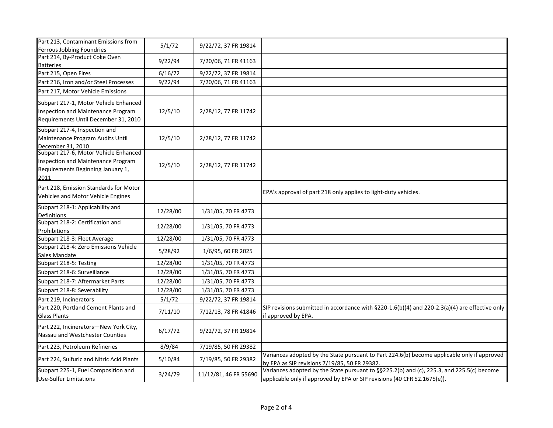| Part 213, Contaminant Emissions from<br>Ferrous Jobbing Foundries                                                        | 5/1/72   | 9/22/72, 37 FR 19814  |                                                                                                                                                                       |
|--------------------------------------------------------------------------------------------------------------------------|----------|-----------------------|-----------------------------------------------------------------------------------------------------------------------------------------------------------------------|
| Part 214, By-Product Coke Oven<br><b>Batteries</b>                                                                       | 9/22/94  | 7/20/06, 71 FR 41163  |                                                                                                                                                                       |
| Part 215, Open Fires                                                                                                     | 6/16/72  | 9/22/72, 37 FR 19814  |                                                                                                                                                                       |
| Part 216, Iron and/or Steel Processes                                                                                    | 9/22/94  | 7/20/06, 71 FR 41163  |                                                                                                                                                                       |
| Part 217, Motor Vehicle Emissions                                                                                        |          |                       |                                                                                                                                                                       |
| Subpart 217-1, Motor Vehicle Enhanced<br>Inspection and Maintenance Program<br>Requirements Until December 31, 2010      | 12/5/10  | 2/28/12, 77 FR 11742  |                                                                                                                                                                       |
| Subpart 217-4, Inspection and<br>Maintenance Program Audits Until<br>December 31, 2010                                   | 12/5/10  | 2/28/12, 77 FR 11742  |                                                                                                                                                                       |
| Subpart 217-6, Motor Vehicle Enhanced<br>Inspection and Maintenance Program<br>Requirements Beginning January 1,<br>2011 | 12/5/10  | 2/28/12, 77 FR 11742  |                                                                                                                                                                       |
| Part 218, Emission Standards for Motor<br>Vehicles and Motor Vehicle Engines                                             |          |                       | EPA's approval of part 218 only applies to light-duty vehicles.                                                                                                       |
| Subpart 218-1: Applicability and<br><b>Definitions</b>                                                                   | 12/28/00 | 1/31/05, 70 FR 4773   |                                                                                                                                                                       |
| Subpart 218-2: Certification and<br>Prohibitions                                                                         | 12/28/00 | 1/31/05, 70 FR 4773   |                                                                                                                                                                       |
| Subpart 218-3: Fleet Average                                                                                             | 12/28/00 | 1/31/05, 70 FR 4773   |                                                                                                                                                                       |
| Subpart 218-4: Zero Emissions Vehicle<br>Sales Mandate                                                                   | 5/28/92  | 1/6/95, 60 FR 2025    |                                                                                                                                                                       |
| Subpart 218-5: Testing                                                                                                   | 12/28/00 | 1/31/05, 70 FR 4773   |                                                                                                                                                                       |
| Subpart 218-6: Surveillance                                                                                              | 12/28/00 | 1/31/05, 70 FR 4773   |                                                                                                                                                                       |
| Subpart 218-7: Aftermarket Parts                                                                                         | 12/28/00 | 1/31/05, 70 FR 4773   |                                                                                                                                                                       |
| Subpart 218-8: Severability                                                                                              | 12/28/00 | 1/31/05, 70 FR 4773   |                                                                                                                                                                       |
| Part 219, Incinerators                                                                                                   | 5/1/72   | 9/22/72, 37 FR 19814  |                                                                                                                                                                       |
| Part 220, Portland Cement Plants and<br><b>Glass Plants</b>                                                              | 7/11/10  | 7/12/13, 78 FR 41846  | SIP revisions submitted in accordance with $\S220-1.6(b)(4)$ and 220-2.3(a)(4) are effective only<br>if approved by EPA.                                              |
| Part 222, Incinerators-New York City,<br>Nassau and Westchester Counties                                                 | 6/17/72  | 9/22/72, 37 FR 19814  |                                                                                                                                                                       |
| Part 223, Petroleum Refineries                                                                                           | 8/9/84   | 7/19/85, 50 FR 29382  |                                                                                                                                                                       |
| Part 224, Sulfuric and Nitric Acid Plants                                                                                | 5/10/84  | 7/19/85, 50 FR 29382  | Variances adopted by the State pursuant to Part 224.6(b) become applicable only if approved<br>by EPA as SIP revisions 7/19/85, 50 FR 29382.                          |
| Subpart 225-1, Fuel Composition and<br><b>Use-Sulfur Limitations</b>                                                     | 3/24/79  | 11/12/81, 46 FR 55690 | Variances adopted by the State pursuant to §§225.2(b) and (c), 225.3, and 225.5(c) become<br>applicable only if approved by EPA or SIP revisions (40 CFR 52.1675(e)). |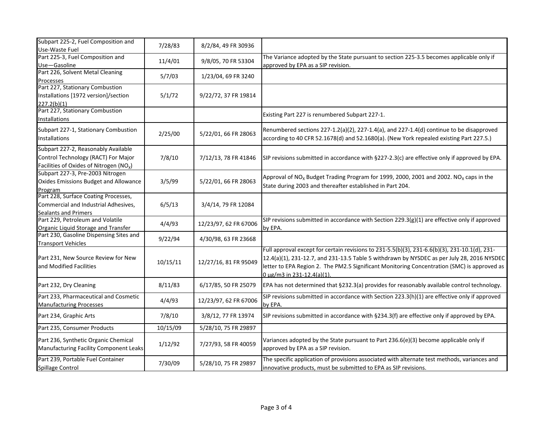| Subpart 225-2, Fuel Composition and<br>Use-Waste Fuel                                                                             | 7/28/83  | 8/2/84, 49 FR 30936   |                                                                                                                                                                                                                                                                                                                          |
|-----------------------------------------------------------------------------------------------------------------------------------|----------|-----------------------|--------------------------------------------------------------------------------------------------------------------------------------------------------------------------------------------------------------------------------------------------------------------------------------------------------------------------|
| Part 225-3, Fuel Composition and<br>Use-Gasoline                                                                                  | 11/4/01  | 9/8/05, 70 FR 53304   | The Variance adopted by the State pursuant to section 225-3.5 becomes applicable only if<br>approved by EPA as a SIP revision.                                                                                                                                                                                           |
| Part 226, Solvent Metal Cleaning<br>Processes                                                                                     | 5/7/03   | 1/23/04, 69 FR 3240   |                                                                                                                                                                                                                                                                                                                          |
| Part 227, Stationary Combustion<br>Installations [1972 version]/section<br>227.2(b)(1)                                            | 5/1/72   | 9/22/72, 37 FR 19814  |                                                                                                                                                                                                                                                                                                                          |
| Part 227, Stationary Combustion<br>Installations                                                                                  |          |                       | Existing Part 227 is renumbered Subpart 227-1.                                                                                                                                                                                                                                                                           |
| Subpart 227-1, Stationary Combustion<br>Installations                                                                             | 2/25/00  | 5/22/01, 66 FR 28063  | Renumbered sections 227-1.2(a)(2), 227-1.4(a), and 227-1.4(d) continue to be disapproved<br>according to 40 CFR 52.1678(d) and 52.1680(a). (New York repealed existing Part 227.5.)                                                                                                                                      |
| Subpart 227-2, Reasonably Available<br>Control Technology (RACT) For Major<br>Facilities of Oxides of Nitrogen (NO <sub>x</sub> ) | 7/8/10   | 7/12/13, 78 FR 41846  | SIP revisions submitted in accordance with §227-2.3(c) are effective only if approved by EPA.                                                                                                                                                                                                                            |
| Subpart 227-3, Pre-2003 Nitrogen<br><b>Oxides Emissions Budget and Allowance</b><br>Program                                       | 3/5/99   | 5/22/01, 66 FR 28063  | Approval of NO <sub>x</sub> Budget Trading Program for 1999, 2000, 2001 and 2002. NO <sub>x</sub> caps in the<br>State during 2003 and thereafter established in Part 204.                                                                                                                                               |
| Part 228, Surface Coating Processes,<br>Commercial and Industrial Adhesives,<br><b>Sealants and Primers</b>                       | 6/5/13   | 3/4/14, 79 FR 12084   |                                                                                                                                                                                                                                                                                                                          |
| Part 229, Petroleum and Volatile<br>Organic Liquid Storage and Transfer                                                           | 4/4/93   | 12/23/97, 62 FR 67006 | SIP revisions submitted in accordance with Section 229.3( $g$ )(1) are effective only if approved<br>by EPA.                                                                                                                                                                                                             |
| Part 230, Gasoline Dispensing Sites and<br><b>Transport Vehicles</b>                                                              | 9/22/94  | 4/30/98, 63 FR 23668  |                                                                                                                                                                                                                                                                                                                          |
| Part 231, New Source Review for New<br>and Modified Facilities                                                                    | 10/15/11 | 12/27/16, 81 FR 95049 | Full approval except for certain revisions to 231-5.5(b)(3), 231-6.6(b)(3), 231-10.1(d), 231-<br>12.4(a)(1), 231-12.7, and 231-13.5 Table 5 withdrawn by NYSDEC as per July 28, 2016 NYSDEC<br>letter to EPA Region 2. The PM2.5 Significant Monitoring Concentration (SMC) is approved as<br>0 µg/m3 in 231-12.4(a)(1). |
| Part 232, Dry Cleaning                                                                                                            | 8/11/83  | 6/17/85, 50 FR 25079  | EPA has not determined that §232.3(a) provides for reasonably available control technology.                                                                                                                                                                                                                              |
| Part 233, Pharmaceutical and Cosmetic<br><b>Manufacturing Processes</b>                                                           | 4/4/93   | 12/23/97, 62 FR 67006 | SIP revisions submitted in accordance with Section 223.3(h)(1) are effective only if approved<br>by EPA.                                                                                                                                                                                                                 |
| Part 234, Graphic Arts                                                                                                            | 7/8/10   | 3/8/12, 77 FR 13974   | SIP revisions submitted in accordance with §234.3(f) are effective only if approved by EPA.                                                                                                                                                                                                                              |
| Part 235, Consumer Products                                                                                                       | 10/15/09 | 5/28/10, 75 FR 29897  |                                                                                                                                                                                                                                                                                                                          |
| Part 236, Synthetic Organic Chemical<br>Manufacturing Facility Component Leaks                                                    | 1/12/92  | 7/27/93, 58 FR 40059  | Variances adopted by the State pursuant to Part 236.6(e)(3) become applicable only if<br>approved by EPA as a SIP revision.                                                                                                                                                                                              |
| Part 239, Portable Fuel Container<br>Spillage Control                                                                             | 7/30/09  | 5/28/10, 75 FR 29897  | The specific application of provisions associated with alternate test methods, variances and<br>innovative products, must be submitted to EPA as SIP revisions.                                                                                                                                                          |